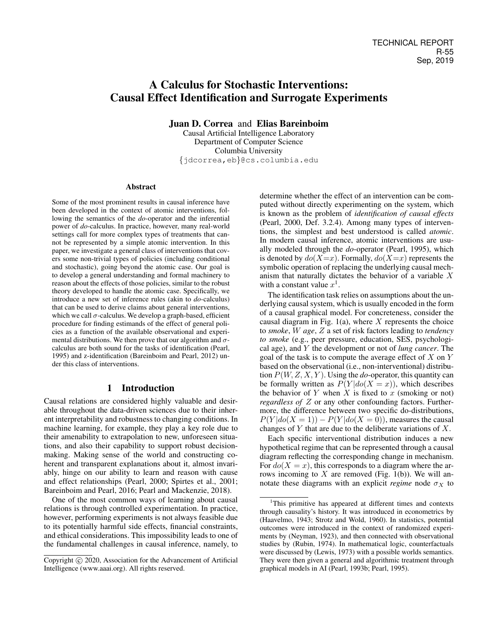# A Calculus for Stochastic Interventions: Causal Effect Identification and Surrogate Experiments

Juan D. Correa and Elias Bareinboim

Causal Artificial Intelligence Laboratory Department of Computer Science Columbia University {jdcorrea,eb}@cs.columbia.edu

### Abstract

Some of the most prominent results in causal inference have been developed in the context of atomic interventions, following the semantics of the *do*-operator and the inferential power of *do*-calculus. In practice, however, many real-world settings call for more complex types of treatments that cannot be represented by a simple atomic intervention. In this paper, we investigate a general class of interventions that covers some non-trivial types of policies (including conditional and stochastic), going beyond the atomic case. Our goal is to develop a general understanding and formal machinery to reason about the effects of those policies, similar to the robust theory developed to handle the atomic case. Specifically, we introduce a new set of inference rules (akin to *do*-calculus) that can be used to derive claims about general interventions, which we call  $\sigma$ -calculus. We develop a graph-based, efficient procedure for finding estimands of the effect of general policies as a function of the available observational and experimental distributions. We then prove that our algorithm and  $\sigma$ calculus are both sound for the tasks of identification (Pearl, 1995) and z-identification (Bareinboim and Pearl, 2012) under this class of interventions.

## 1 Introduction

Causal relations are considered highly valuable and desirable throughout the data-driven sciences due to their inherent interpretability and robustness to changing conditions. In machine learning, for example, they play a key role due to their amenability to extrapolation to new, unforeseen situations, and also their capability to support robust decisionmaking. Making sense of the world and constructing coherent and transparent explanations about it, almost invariably, hinge on our ability to learn and reason with cause and effect relationships (Pearl, 2000; Spirtes et al., 2001; Bareinboim and Pearl, 2016; Pearl and Mackenzie, 2018).

One of the most common ways of learning about causal relations is through controlled experimentation. In practice, however, performing experiments is not always feasible due to its potentially harmful side effects, financial constraints, and ethical considerations. This impossibility leads to one of the fundamental challenges in causal inference, namely, to

determine whether the effect of an intervention can be computed without directly experimenting on the system, which is known as the problem of *identification of causal effects* (Pearl, 2000, Def. 3.2.4). Among many types of interventions, the simplest and best understood is called *atomic*. In modern causal inference, atomic interventions are usually modeled through the *do*-operator (Pearl, 1995), which is denoted by  $do(X=x)$ . Formally,  $do(X=x)$  represents the symbolic operation of replacing the underlying causal mechanism that naturally dictates the behavior of a variable X with a constant value  $x^1$ .

The identification task relies on assumptions about the underlying causal system, which is usually encoded in the form of a causal graphical model. For concreteness, consider the causal diagram in Fig.  $1(a)$ , where X represents the choice to *smoke*, W *age*, Z a set of risk factors leading to *tendency to smoke* (e.g., peer pressure, education, SES, psychological age), and Y the development or not of *lung cancer*. The goal of the task is to compute the average effect of  $X$  on  $Y$ based on the observational (i.e., non-interventional) distribution P(W, Z, X, Y ). Using the *do*-operator, this quantity can be formally written as  $P(Y|do(X = x))$ , which describes the behavior of Y when X is fixed to x (smoking or not) *regardless of* Z or any other confounding factors. Furthermore, the difference between two specific do-distributions,  $P(Y|do(X = 1)) - P(Y|do(X = 0))$ , measures the causal changes of  $Y$  that are due to the deliberate variations of  $X$ .

Each specific interventional distribution induces a new hypothetical regime that can be represented through a causal diagram reflecting the corresponding change in mechanism. For  $do(X = x)$ , this corresponds to a diagram where the arrows incoming to  $X$  are removed (Fig. 1(b)). We will annotate these diagrams with an explicit *regime* node  $\sigma_X$  to

Copyright (c) 2020, Association for the Advancement of Artificial Intelligence (www.aaai.org). All rights reserved.

<sup>1</sup>This primitive has appeared at different times and contexts through causality's history. It was introduced in econometrics by (Haavelmo, 1943; Strotz and Wold, 1960). In statistics, potential outcomes were introduced in the context of randomized experiments by (Neyman, 1923), and then connected with observational studies by (Rubin, 1974). In mathematical logic, counterfactuals were discussed by (Lewis, 1973) with a possible worlds semantics. They were then given a general and algorithmic treatment through graphical models in AI (Pearl, 1993b; Pearl, 1995).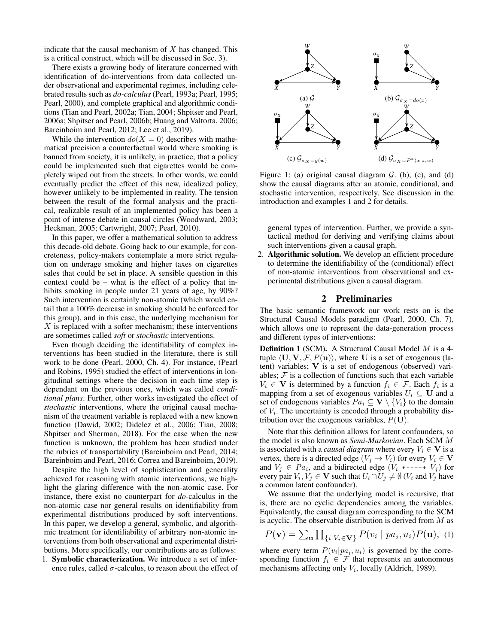indicate that the causal mechanism of  $X$  has changed. This is a critical construct, which will be discussed in Sec. 3).

There exists a growing body of literature concerned with identification of do-interventions from data collected under observational and experimental regimes, including celebrated results such as *do-calculus*(Pearl, 1993a; Pearl, 1995; Pearl, 2000), and complete graphical and algorithmic conditions (Tian and Pearl, 2002a; Tian, 2004; Shpitser and Pearl, 2006a; Shpitser and Pearl, 2006b; Huang and Valtorta, 2006; Bareinboim and Pearl, 2012; Lee et al., 2019).

While the intervention  $do(X = 0)$  describes with mathematical precision a counterfactual world where smoking is banned from society, it is unlikely, in practice, that a policy could be implemented such that cigarettes would be completely wiped out from the streets. In other words, we could eventually predict the effect of this new, idealized policy, however unlikely to be implemented in reality. The tension between the result of the formal analysis and the practical, realizable result of an implemented policy has been a point of intense debate in causal circles (Woodward, 2003; Heckman, 2005; Cartwright, 2007; Pearl, 2010).

In this paper, we offer a mathematical solution to address this decade-old debate. Going back to our example, for concreteness, policy-makers contemplate a more strict regulation on underage smoking and higher taxes on cigarettes sales that could be set in place. A sensible question in this context could be – what is the effect of a policy that inhibits smoking in people under 21 years of age, by 90%? Such intervention is certainly non-atomic (which would entail that a 100% decrease in smoking should be enforced for this group), and in this case, the underlying mechanism for  $X$  is replaced with a softer mechanism; these interventions are sometimes called *soft* or *stochastic* interventions.

Even though deciding the identifiability of complex interventions has been studied in the literature, there is still work to be done (Pearl, 2000, Ch. 4). For instance, (Pearl and Robins, 1995) studied the effect of interventions in longitudinal settings where the decision in each time step is dependant on the previous ones, which was called *conditional plans*. Further, other works investigated the effect of *stochastic* interventions, where the original causal mechanism of the treatment variable is replaced with a new known function (Dawid, 2002; Didelez et al., 2006; Tian, 2008; Shpitser and Sherman, 2018). For the case when the new function is unknown, the problem has been studied under the rubrics of transportability (Bareinboim and Pearl, 2014; Bareinboim and Pearl, 2016; Correa and Bareinboim, 2019).

Despite the high level of sophistication and generality achieved for reasoning with atomic interventions, we highlight the glaring difference with the non-atomic case. For instance, there exist no counterpart for *do*-calculus in the non-atomic case nor general results on identifiability from experimental distributions produced by soft interventions. In this paper, we develop a general, symbolic, and algorithmic treatment for identifiability of arbitrary non-atomic interventions from both observational and experimental distributions. More specifically, our contributions are as follows: 1. Symbolic characterization. We introduce a set of infer-

ence rules, called  $\sigma$ -calculus, to reason about the effect of



Figure 1: (a) original causal diagram  $G$ . (b), (c), and (d) show the causal diagrams after an atomic, conditional, and stochastic intervention, respectively. See discussion in the introduction and examples 1 and 2 for details.

general types of intervention. Further, we provide a syntactical method for deriving and verifying claims about such interventions given a causal graph.

2. Algorithmic solution. We develop an efficient procedure to determine the identifiability of the (conditional) effect of non-atomic interventions from observational and experimental distributions given a causal diagram.

## 2 Preliminaries

The basic semantic framework our work rests on is the Structural Causal Models paradigm (Pearl, 2000, Ch. 7), which allows one to represent the data-generation process and different types of interventions:

Definition 1 (SCM). A Structural Causal Model M is a 4 tuple  $\langle U, V, \mathcal{F}, P(u)\rangle$ , where U is a set of exogenous (latent) variables; V is a set of endogenous (observed) variables;  $F$  is a collection of functions such that each variable  $V_i \in \mathbf{V}$  is determined by a function  $f_i \in \mathcal{F}$ . Each  $f_i$  is a mapping from a set of exogenous variables  $U_i \subseteq U$  and a set of endogenous variables  $Pa_i \subseteq \mathbf{V} \setminus \{V_i\}$  to the domain of  $V_i$ . The uncertainty is encoded through a probability distribution over the exogenous variables,  $P(U)$ .

Note that this definition allows for latent confounders, so the model is also known as *Semi-Markovian*. Each SCM M is associated with a *causal diagram* where every  $V_i \in V$  is a vertex, there is a directed edge  $(V_j \rightarrow V_i)$  for every  $V_i \in V$ and  $V_j \in Pa_i$ , and a bidirected edge  $(V_i \leftarrow \rightarrow V_j)$  for every pair  $V_i, V_j \in \mathbf{V}$  such that  $U_i \cap U_j \neq \emptyset$   $(V_i$  and  $V_j$  have a common latent confounder).

We assume that the underlying model is recursive, that is, there are no cyclic dependencies among the variables. Equivalently, the causal diagram corresponding to the SCM is acyclic. The observable distribution is derived from  $M$  as

$$
P(\mathbf{v}) = \sum_{\mathbf{u}} \prod_{\{i \mid V_i \in \mathbf{V}\}} P(v_i \mid pa_i, u_i) P(\mathbf{u}), \tag{1}
$$

where every term  $P(v_i|pa_i, u_i)$  is governed by the corresponding function  $f_i \in \mathcal{F}$  that represents an autonomous mechanisms affecting only  $V_i$ , locally (Aldrich, 1989).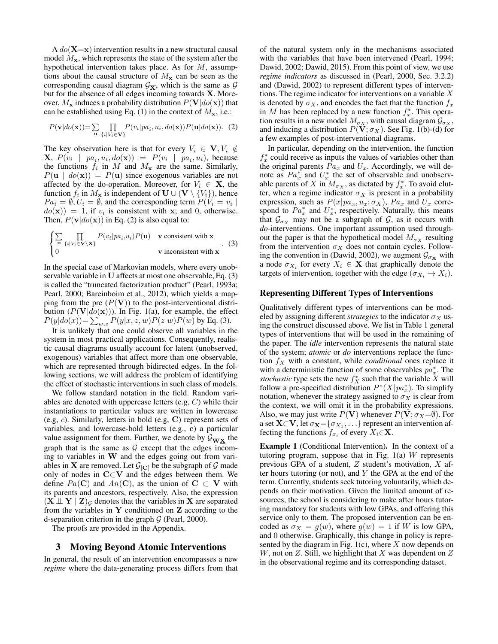A  $do(X=x)$  intervention results in a new structural causal model  $M_{\rm\bf x}$ , which represents the state of the system after the hypothetical intervention takes place. As for  $M$ , assumptions about the causal structure of  $M_x$  can be seen as the corresponding causal diagram  $\mathcal{G}_{\overline{\mathbf{X}}}$ , which is the same as  $\mathcal G$ but for the absence of all edges incoming towards X. Moreover,  $M_{\mathbf{x}}$  induces a probability distribution  $P(\mathbf{V}|do(\mathbf{x}))$  that can be established using Eq. (1) in the context of  $M_{\rm x}$ , i.e.:

$$
P(\mathbf{v}|do(\mathbf{x})) = \sum_{\mathbf{u}} \prod_{\{i|V_i \in \mathbf{V}\}} P(v_i|pa_i, u_i, do(\mathbf{x})) P(\mathbf{u}|do(\mathbf{x})). \tag{2}
$$

The key observation here is that for every  $V_i \in \mathbf{V}, V_i \notin$ **X**,  $P(v_i \mid pa_i, u_i, do(\mathbf{x})) = P(v_i \mid pa_i, u_i)$ , because the functions  $f_i$  in M and  $M_x$  are the same. Similarly,  $P(\mathbf{u} \mid \text{do}(\mathbf{x})) = P(\mathbf{u})$  since exogenous variables are not affected by the do-operation. Moreover, for  $V_i \in \mathbf{X}$ , the function  $f_i$  in  $M_x$  is independent of  $\mathbf{U} \cup (\mathbf{V} \setminus \{V_i\})$ , hence  $Pa_i = \emptyset, U_i = \emptyset$ , and the corresponding term  $P(V_i = v_i |$  $do(\mathbf{x}) = 1$ , if  $v_i$  is consistent with x; and 0, otherwise. Then,  $P(\mathbf{v}|do(\mathbf{x}))$  in Eq. (2) is also equal to:

$$
\begin{cases} \sum_{\mathbf{u}} \prod_{\{i|V_i \in \mathbf{V} \setminus \mathbf{X}\}} P(v_i|pa_i, u_i) P(\mathbf{u}) & \text{v consistent with } \mathbf{x} \\ 0 & \text{v inconsistent with } \mathbf{x} \end{cases}
$$
 (3)

In the special case of Markovian models, where every unobservable variable in U affects at most one observable, Eq. (3) is called the "truncated factorization product" (Pearl, 1993a; Pearl, 2000; Bareinboim et al., 2012), which yields a mapping from the pre  $(P(V))$  to the post-interventional distribution  $(P(V|do(x)))$ . In Fig. 1(a), for example, the effect  $P(y|do(x)) = \sum_{w,z} P(y|x, z, w) P(z|w) P(w)$  by Eq. (3).

It is unlikely that one could observe all variables in the system in most practical applications. Consequently, realistic causal diagrams usually account for latent (unobserved, exogenous) variables that affect more than one observable, which are represented through bidirected edges. In the following sections, we will address the problem of identifying the effect of stochastic interventions in such class of models.

We follow standard notation in the field. Random variables are denoted with uppercase letters (e.g, C) while their instantiations to particular values are written in lowercase (e.g, c). Similarly, letters in bold (e.g, C) represent sets of variables, and lowercase-bold letters (e.g., c) a particular value assignment for them. Further, we denote by  $\mathcal{G}_{\overline{W}X}$  the graph that is the same as  $G$  except that the edges incoming to variables in W and the edges going out from variables in **X** are removed. Let  $\mathcal{G}_{[C]}$  be the subgraph of  $\mathcal{G}$  made only of nodes in  $C\subset V$  and the edges between them. We define  $Pa(C)$  and  $An(C)$ , as the union of  $C \subset V$  with its parents and ancestors, respectively. Also, the expression  $(X \perp Y | Z)_G$  denotes that the variables in X are separated from the variables in  $Y$  conditioned on  $Z$  according to the d-separation criterion in the graph  $G$  (Pearl, 2000).

The proofs are provided in the Appendix.

#### 3 Moving Beyond Atomic Interventions

In general, the result of an intervention encompasses a new *regime* where the data-generating process differs from that of the natural system only in the mechanisms associated with the variables that have been intervened (Pearl, 1994; Dawid, 2002; Dawid, 2015). From this point of view, we use *regime indicators* as discussed in (Pearl, 2000, Sec. 3.2.2) and (Dawid, 2002) to represent different types of interventions. The regime indicator for interventions on a variable  $X$ is denoted by  $\sigma_X$ , and encodes the fact that the function  $f_x$ in M has been replaced by a new function  $f_x^*$ . This operation results in a new model  $M_{\sigma_X}$ , with causal diagram  $\mathcal{G}_{\sigma_X}$ , and inducing a distribution  $P(\mathbf{V}; \sigma_X)$ . See Fig. 1(b)-(d) for a few examples of post-interventional diagrams.

In particular, depending on the intervention, the function  $f_x^*$  could receive as inputs the values of variables other than the original parents  $Pa_x$  and  $U_x$ . Accordingly, we will denote as  $Pa_x^*$  and  $U_x^*$  the set of observable and unobservable parents of X in  $M_{\sigma_X}$ , as dictated by  $f_x^*$ . To avoid clutter, when a regime indicator  $\sigma_X$  is present in a probability expression, such as  $P(x|pa_x, u_x; \sigma_X)$ ,  $Pa_x$  and  $U_x$  correspond to  $Pa_x^*$  and  $U_x^*$ , respectively. Naturally, this means that  $\mathcal{G}_{\sigma_X}$  may not be a subgraph of  $\mathcal{G}$ , as it occurs with *do*-interventions. One important assumption used throughout the paper is that the hypothetical model  $M_{\sigma x}$  resulting from the intervention  $\sigma_X$  does not contain cycles. Following the convention in (Dawid, 2002), we augment  $\mathcal{G}_{\sigma_{\mathbf{x}}}$  with a node  $\sigma_{X_i}$  for every  $X_i \in \mathbf{X}$  that graphically denote the targets of intervention, together with the edge ( $\sigma_{X_i} \to X_i$ ).

#### Representing Different Types of Interventions

Qualitatively different types of interventions can be modeled by assigning different *strategies* to the indicator  $\sigma_X$  using the construct discussed above. We list in Table 1 general types of interventions that will be used in the remaining of the paper. The *idle* intervention represents the natural state of the system; *atomic* or *do* interventions replace the function  $f_X$  with a constant, while *conditional* ones replace it with a deterministic function of some observables  $pa_x^*$ . The *stochastic* type sets the new  $f_X^*$  such that the variable  $\tilde{X}$  will follow a pre-specified distribution  $P^*(X|pa_x^*)$ . To simplify notation, whenever the strategy assigned to  $\sigma_X$  is clear from the context, we will omit it in the probability expressions. Also, we may just write  $P(V)$  whenever  $P(V; \sigma_X = \emptyset)$ . For a set  $\mathbf{X}\subset \mathbf{V}$ , let  $\sigma_{\mathbf{X}}{=}\{\sigma_{X_1},\ldots\}$  represent an intervention affecting the functions  $f_{x_i}$  of every  $X_i \in \mathbf{X}$ .

Example 1 (Conditional Intervention). In the context of a tutoring program, suppose that in Fig.  $1(a)$  W represents previous GPA of a student, Z student's motivation, X after hours tutoring (or not), and  $Y$  the GPA at the end of the term. Currently, students seek tutoring voluntarily, which depends on their motivation. Given the limited amount of resources, the school is considering to make after hours tutoring mandatory for students with low GPAs, and offering this service only to them. The proposed intervention can be encoded as  $\sigma_X = g(w)$ , where  $g(w) = 1$  if W is low GPA, and 0 otherwise. Graphically, this change in policy is represented by the diagram in Fig.  $1(c)$ , where X now depends on W, not on Z. Still, we highlight that X was dependent on  $Z$ in the observational regime and its corresponding dataset.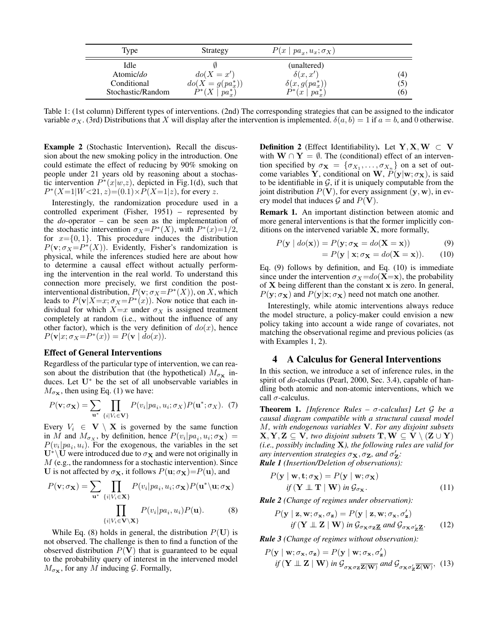| Type              | Strategy             | $P(x \mid pa_x, u_x; \sigma_X)$ |     |
|-------------------|----------------------|---------------------------------|-----|
| Idle              |                      | (unaltered)                     |     |
| Atomic/do         | $do(X = x')$         | $\delta(x,x')$                  | (4) |
| Conditional       | $do(X = g(pa_x^*))$  | $\delta(x, g(pa_x^*))$          | (5) |
| Stochastic/Random | $P^*(X \mid pa_r^*)$ | $P^*(x \mid pa^*_r)$            | (6) |

Table 1: (1st column) Different types of interventions. (2nd) The corresponding strategies that can be assigned to the indicator variable  $\sigma_X$ . (3rd) Distributions that X will display after the intervention is implemented.  $\delta(a, b) = 1$  if  $a = b$ , and 0 otherwise.

Example 2 (Stochastic Intervention). Recall the discussion about the new smoking policy in the introduction. One could estimate the effect of reducing by 90% smoking on people under 21 years old by reasoning about a stochastic intervention  $P^*(x|w,z)$ , depicted in Fig.1(d), such that  $P^*(X=1|W<21, z) = (0.1) \times P(X=1|z)$ , for every z.

Interestingly, the randomization procedure used in a controlled experiment (Fisher, 1951) – represented by the *do*-operator – can be seen as the implementation of the stochastic intervention  $\sigma_X = P^*(X)$ , with  $P^*(x)=1/2$ , for  $x = \{0, 1\}$ . This procedure induces the distribution  $P(\mathbf{v}; \sigma_X = P^*(X))$ . Evidently, Fisher's randomization is physical, while the inferences studied here are about how to determine a causal effect without actually performing the intervention in the real world. To understand this connection more precisely, we first condition the postinterventional distribution,  $P(\mathbf{v}; \sigma_X = P^*(X))$ , on X, which leads to  $P(\mathbf{v}|X=x; \sigma_X = P^*(x))$ . Now notice that each individual for which  $X=x$  under  $\sigma_X$  is assigned treatment completely at random (i.e., without the influence of any other factor), which is the very definition of  $d\rho(x)$ , hence  $P(\mathbf{v}|x;\sigma_X= P^*(x)) = P(\mathbf{v} | \dot{do}(x)).$ 

## Effect of General Interventions

Regardless of the particular type of intervention, we can reason about the distribution that (the hypothetical)  $M_{\sigma_{\mathbf{x}}}$  induces. Let U<sup>∗</sup> be the set of all unobservable variables in  $M_{\sigma x}$ , then using Eq. (1) we have:

$$
P(\mathbf{v}; \sigma_{\mathbf{X}}) = \sum_{\mathbf{u}^*} \prod_{\{i \mid V_i \in \mathbf{V}\}} P(v_i | pa_i, u_i; \sigma_X) P(\mathbf{u}^*; \sigma_X). \tag{7}
$$

Every  $V_i \in \mathbf{V} \setminus \mathbf{X}$  is governed by the same function in M and  $M_{\sigma_X}$ , by definition, hence  $P(v_i|pa_i, u_i; \sigma_X)$  =  $P(v_i|pa_i, u_i)$ . For the exogenous, the variables in the set  $U^* \backslash U$  were introduced due to  $\sigma_X$  and were not originally in M (e.g., the randomness for a stochastic intervention). Since U is not affected by  $\sigma_{\mathbf{X}}$ , it follows  $P(\mathbf{u}; \sigma_{\mathbf{X}})=P(\mathbf{u})$ , and

$$
P(\mathbf{v}; \sigma_{\mathbf{X}}) = \sum_{\mathbf{u}^*} \prod_{\{i \mid V_i \in \mathbf{X}\}} P(v_i | pa_i, u_i; \sigma_{\mathbf{X}}) P(\mathbf{u}^* \backslash \mathbf{u}; \sigma_{\mathbf{X}})
$$

$$
\prod_{\{i \mid V_i \in \mathbf{V} \backslash \mathbf{X}\}} P(v_i | pa_i, u_i) P(\mathbf{u}). \tag{8}
$$

While Eq. (8) holds in general, the distribution  $P(U)$  is not observed. The challenge is then to find a function of the observed distribution  $P(V)$  that is guaranteed to be equal to the probability query of interest in the intervened model  $M_{\sigma x}$ , for any M inducing G. Formally,

**Definition 2** (Effect Identifiability). Let  $Y, X, W \subset V$ with  $W \cap Y = \emptyset$ . The (conditional) effect of an intervention specified by  $\sigma_{\mathbf{X}} = {\sigma_{X_1}, \dots, \sigma_{X_n}}$  on a set of outcome variables Y, conditional on W,  $P(y|w; \sigma_X)$ , is said to be identifiable in  $G$ , if it is uniquely computable from the joint distribution  $P(V)$ , for every assignment  $(y, w)$ , in every model that induces  $G$  and  $P(V)$ .

Remark 1. An important distinction between atomic and more general interventions is that the former implicitly conditions on the intervened variable X, more formally,

$$
P(\mathbf{y} \mid \text{do}(\mathbf{x})) = P(\mathbf{y}; \sigma_{\mathbf{X}} = \text{do}(\mathbf{X} = \mathbf{x})) \tag{9}
$$

$$
= P(\mathbf{y} \mid \mathbf{x}; \sigma_{\mathbf{X}} = do(\mathbf{X} = \mathbf{x})). \tag{10}
$$

Eq. (9) follows by definition, and Eq. (10) is immediate since under the intervention  $\sigma_X = do(\mathbf{X}=\mathbf{x})$ , the probability of  $X$  being different than the constant  $x$  is zero. In general,  $P(\mathbf{y}; \sigma_{\mathbf{X}})$  and  $P(\mathbf{y}|\mathbf{x}; \sigma_{\mathbf{X}})$  need not match one another.

Interestingly, while atomic interventions always reduce the model structure, a policy-maker could envision a new policy taking into account a wide range of covariates, not matching the observational regime and previous policies (as with Examples 1, 2).

## 4 A Calculus for General Interventions

In this section, we introduce a set of inference rules, in the spirit of *do*-calculus (Pearl, 2000, Sec. 3.4), capable of handling both atomic and non-atomic interventions, which we call  $\sigma$ -calculus.

Theorem 1. *[Inference Rules –* σ*-calculus] Let* G *be a causal diagram compatible with a structural causal model* M*, with endogenous variables* V*. For any disjoint subsets*  $X, Y, Z \subseteq V$ *, two disjoint subsets*  $T, W \subseteq V \setminus (Z \cup Y)$ *(i.e., possibly including* X*), the following rules are valid for any intervention strategies*  $\sigma_{\mathbf{X}}, \sigma_{\mathbf{Z}}$ *, and*  $\sigma'_{\mathbf{Z}}$ *: Rule 1 (Insertion/Deletion of observations):*

$$
P(\mathbf{y} \mid \mathbf{w}, \mathbf{t}; \sigma_{\mathbf{X}}) = P(\mathbf{y} \mid \mathbf{w}; \sigma_{\mathbf{X}})
$$
  
if  $(\mathbf{Y} \perp \mathbf{T} \mid \mathbf{W})$  in  $\mathcal{G}_{\sigma_{\mathbf{X}}}.$  (11)

*Rule 2 (Change of regimes under observation):*

$$
P(\mathbf{y} \mid \mathbf{z}, \mathbf{w}; \sigma_{\mathbf{x}}, \sigma_{\mathbf{z}}) = P(\mathbf{y} \mid \mathbf{z}, \mathbf{w}; \sigma_{\mathbf{x}}, \sigma_{\mathbf{z}}')
$$
  
if  $(\mathbf{Y} \perp \mathbf{Z} \mid \mathbf{W})$  in  $\mathcal{G}_{\sigma_{\mathbf{X}} \sigma_{\mathbf{Z}} \mathbf{Z}}$  and  $\mathcal{G}_{\sigma_{\mathbf{X}} \sigma_{\mathbf{Z}}' \mathbf{Z'}}$ . (12)

*Rule 3 (Change of regimes without observation):*

$$
P(\mathbf{y} \mid \mathbf{w}; \sigma_{\mathbf{x}}, \sigma_{\mathbf{z}}) = P(\mathbf{y} \mid \mathbf{w}; \sigma_{\mathbf{x}}, \sigma_{\mathbf{z}}')
$$
  
if  $(\mathbf{Y} \perp \mathbf{Z} \mid \mathbf{W})$  in  $\mathcal{G}_{\sigma_{\mathbf{X}} \sigma_{\mathbf{Z}} \mathbf{Z}(\mathbf{W})}$  and  $\mathcal{G}_{\sigma_{\mathbf{X}} \sigma_{\mathbf{Z}}' \mathbf{Z}(\mathbf{W})}$ , (13)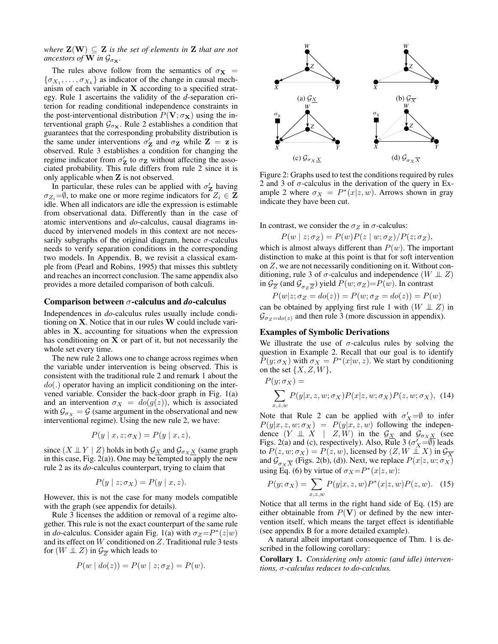*where*  $\mathbf{Z}(\mathbf{W}) \subseteq \mathbf{Z}$  *is the set of elements in*  $\mathbf{Z}$  *that are not ancestors of* **W** in  $\mathcal{G}_{\sigma x}$ *.* 

The rules above follow from the semantics of  $\sigma_{\mathbf{X}}$  =  $\{\sigma_{X_1}, \ldots, \sigma_{X_k}\}\$ as indicator of the change in causal mechanism of each variable in X according to a specified strategy. Rule 1 ascertains the validity of the *d*-separation criterion for reading conditional independence constraints in the post-interventional distribution  $P(\mathbf{V}; \sigma_{\mathbf{X}})$  using the interventional graph  $\mathcal{G}_{\sigma_{\mathbf{X}}}$ . Rule 2 establishes a condition that guarantees that the corresponding probability distribution is the same under interventions  $\sigma'_{\mathbf{Z}}$  and  $\sigma_{\mathbf{Z}}$  while  $\mathbf{Z} = \mathbf{z}$  is observed. Rule 3 establishes a condition for changing the regime indicator from  $\sigma'_{\mathbf{Z}}$  to  $\sigma_{\mathbf{Z}}$  without affecting the associated probability. This rule differs from rule 2 since it is only applicable when Z is not observed.

In particular, these rules can be applied with  $\sigma'_{\mathbf{Z}}$  having  $\sigma_{Z_i} = \emptyset$ , to make one or more regime indicators for  $Z_i \in \mathbf{Z}$ idle. When all indicators are idle the expression is estimable from observational data. Differently than in the case of atomic interventions and *do*-calculus, causal diagrams induced by intervened models in this context are not necessarily subgraphs of the original diagram, hence  $\sigma$ -calculus needs to verify separation conditions in the corresponding two models. In Appendix. B, we revisit a classical example from (Pearl and Robins, 1995) that misses this subtlety and reaches an incorrect conclusion. The same appendix also provides a more detailed comparison of both calculi.

#### Comparison between σ-calculus and *do*-calculus

Independences in *do*-calculus rules usually include conditioning on X. Notice that in our rules W could include variables in X, accounting for situations when the expression has conditioning on  $X$  or part of it, but not necessarily the whole set every time.

The new rule 2 allows one to change across regimes when the variable under intervention is being observed. This is consistent with the traditional rule 2 and remark 1 about the  $do(.)$  operator having an implicit conditioning on the intervened variable. Consider the back-door graph in Fig. 1(a) and an intervention  $\sigma_X = do(g(z))$ , which is associated with  $\mathcal{G}_{\sigma_X} = \mathcal{G}$  (same argument in the observational and new interventional regime). Using the new rule 2, we have:

$$
P(y \mid x, z; \sigma_X) = P(y \mid x, z),
$$

since  $(X \perp\!\!\!\perp Y \mid Z)$  holds in both  $\mathcal{G}_{X}$  and  $\mathcal{G}_{\sigma_X X}$  (same graph in this case, Fig.  $2(a)$ ). One may be tempted to apply the new rule 2 as its *do*-calculus counterpart, trying to claim that

$$
P(y \mid z; \sigma_X) = P(y \mid x, z).
$$

However, this is not the case for many models compatible with the graph (see appendix for details).

Rule 3 licenses the addition or removal of a regime altogether. This rule is not the exact counterpart of the same rule in *do*-calculus. Consider again Fig. 1(a) with  $\sigma_Z = P^*(z|w)$ and its effect on W conditioned on Z. Traditional rule 3 tests for  $(W \perp\!\!\!\perp Z)$  in  $\mathcal{G}_{\overline{Z}}$  which leads to

$$
P(w | do(z)) = P(w | z; \sigma_Z) = P(w).
$$



Figure 2: Graphs used to test the conditions required by rules 2 and 3 of  $\sigma$ -calculus in the derivation of the query in Example 2 where  $\sigma_X = P^*(x|z, w)$ . Arrows shown in gray indicate they have been cut.

In contrast, we consider the  $\sigma_Z$  in  $\sigma$ -calculus:

$$
P(w \mid z; \sigma_Z) = P(w)P(z \mid w; \sigma_Z)/P(z; \sigma_Z),
$$

which is almost always different than  $P(w)$ . The important distinction to make at this point is that for soft intervention on Z, we are not necessarily conditioning on it. Without conditioning, rule 3 of  $\sigma$ -calculus and independence  $(W \perp Z)$ in  $\mathcal{G}_{\overline{Z}}$  (and  $\mathcal{G}_{\sigma_Z \overline{Z}}$ ) yield  $P(w; \sigma_Z) = P(w)$ . In contrast

$$
P(w|z; \sigma_Z = do(z)) = P(w; \sigma_Z = do(z)) = P(w)
$$

can be obtained by applying first rule 1 with  $(W \perp Z)$  in  $\mathcal{G}_{\sigma_z=do(z)}$  and then rule 3 (more discussion in appendix).

#### Examples of Symbolic Derivations

We illustrate the use of  $\sigma$ -calculus rules by solving the question in Example 2. Recall that our goal is to identify  $P(y; \sigma_X)$  with  $\sigma_X = P^*(x|w, z)$ . We start by conditioning on the set  $\{X, Z, W\}$ ,

$$
P(y; \sigma_X) =
$$
  

$$
\sum_{x,z,w} P(y|x,z,w; \sigma_X) P(x|z,w; \sigma_X) P(z,w; \sigma_X),
$$
 (14)

Note that Rule 2 can be applied with  $\sigma'_X = \emptyset$  to infer  $P(y|x, z, w; \sigma_X) = P(y|x, z, w)$  following the independence  $(Y \perp\!\!\!\perp X \mid Z, W)$  in the  $\mathcal{G}_{X}$  and  $\mathcal{G}_{\sigma_X X}$  (see Figs. 2(a) and (c), respectively). Also, Rule 3 ( $\sigma'_X = \overline{\emptyset}$ ) leads to  $P(z, w; \sigma_X) = P(z, w)$ , licensed by  $(Z, W \perp X)$  in  $\mathcal{G}_{\overline{X}}$ and  $\mathcal{G}_{\sigma_X \overline{X}}$  (Figs. 2(b), (d)). Next, we replace  $P(x|z, w; \sigma_X)$ using Eq. (6) by virtue of  $\sigma_X = P^*(x|z, w)$ :

$$
P(y; \sigma_X) = \sum_{x, z, w} P(y|x, z, w) P^*(x|z, w) P(z, w). \quad (15)
$$

Notice that all terms in the right hand side of Eq. (15) are either obtainable from  $P(V)$  or defined by the new intervention itself, which means the target effect is identifiable (see appendix B for a more detailed example).

A natural albeit important consequence of Thm. 1 is described in the following corollary:

Corollary 1. *Considering only atomic (and idle) interventions,* σ*-calculus reduces to do-calculus.*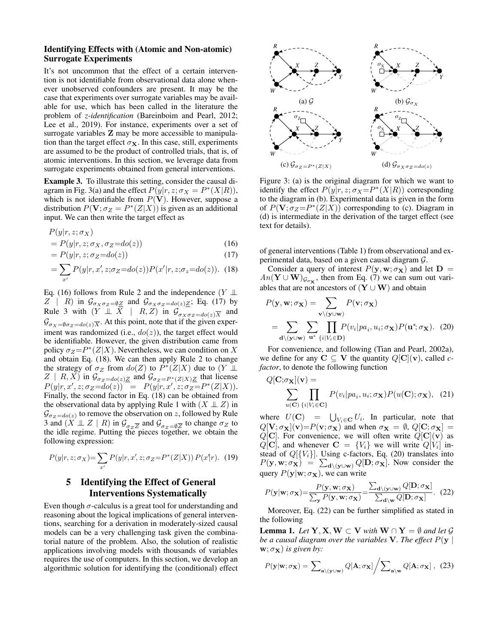## Identifying Effects with (Atomic and Non-atomic) Surrogate Experiments

It's not uncommon that the effect of a certain intervention is not identifiable from observational data alone whenever unobserved confounders are present. It may be the case that experiments over surrogate variables may be available for use, which has been called in the literature the problem of *z-identification* (Bareinboim and Pearl, 2012; Lee et al., 2019). For instance, experiments over a set of surrogate variables **Z** may be more accessible to manipulation than the target effect  $\sigma_{\mathbf{X}}$ . In this case, still, experiments are assumed to be the product of controlled trials, that is, of atomic interventions. In this section, we leverage data from surrogate experiments obtained from general interventions.

Example 3. To illustrate this setting, consider the causal diagram in Fig. 3(a) and the effect  $P(y|r, z; \sigma_X = P^*(X|R)),$ which is not identifiable from  $P(V)$ . However, suppose a distribution  $P(\mathbf{V}; \sigma_Z = P^*(Z|X))$  is given as an additional input. We can then write the target effect as

$$
P(y|r, z; \sigma_X)
$$
  
=  $P(y|r, z; \sigma_X, \sigma_Z = do(z))$  (16)

$$
= P(y|r, z; \sigma_Z = do(z)) \tag{17}
$$

$$
= \sum_{x'} P(y|r, x', z; \sigma_Z = do(z)) P(x'|r, z; \sigma_z = do(z)). \tag{18}
$$

Eq. (16) follows from Rule 2 and the independence (Y  $\perp$  $Z \parallel R$ ) in  $\mathcal{G}_{\sigma_X \sigma_Z = \emptyset \underline{Z}}$  and  $\mathcal{G}_{\sigma_X \sigma_Z = do(z) \underline{Z}}$ ; Eq. (17) by Rule 3 with  $(Y \perp\!\!\!\perp X \mid R, Z)$  in  $\mathcal{G}_{\sigma_X \sigma_Z = do(z)} \overline{X}$  and  $\mathcal{G}_{\sigma_X=\emptyset \sigma_Z = do(z)\overline{X}}$ . At this point, note that if the given experiment was randomized (i.e.,  $do(z)$ ), the target effect would be identifiable. However, the given distribution came from policy  $\sigma_Z = P^*(Z|X)$ . Nevertheless, we can condition on X and obtain Eq. (18). We can then apply Rule 2 to change the strategy of  $\sigma_Z$  from  $do(Z)$  to  $\tilde{P}^*(Z|X)$  due to  $(Y \perp \!\!\!\perp)$  $Z \mid R, X$ ) in  $\mathcal{G}_{\sigma_Z = do(z)}\underline{Z}$  and  $\mathcal{G}_{\sigma_Z = P^*(Z|X)}\underline{Z}$  that license  $P(y|r, x', z; \sigma_Z = do(z)) = P(y|r, x', z; \sigma_Z = P^*(Z|X)).$ Finally, the second factor in Eq. (18) can be obtained from the observational data by applying Rule 1 with  $(X \perp Z)$  in  $\mathcal{G}_{\sigma_Z = do(z)}$  to remove the observation on z, followed by Rule 3 and  $(X \perp\!\!\!\perp Z \mid R)$  in  $\mathcal{G}_{\sigma_Z \overline{Z}}$  and  $\mathcal{G}_{\sigma_Z = \emptyset \overline{Z}}$  to change  $\sigma_Z$  to the idle regime. Putting the pieces together, we obtain the following expression:

$$
P(y|r, z; \sigma_X) = \sum_{x'} P(y|r, x', z; \sigma_Z = P^*(Z|X)) P(x'|r). \tag{19}
$$

## 5 Identifying the Effect of General Interventions Systematically

Even though  $\sigma$ -calculus is a great tool for understanding and reasoning about the logical implications of general interventions, searching for a derivation in moderately-sized causal models can be a very challenging task given the combinatorial nature of the problem. Also, the solution of realistic applications involving models with thousands of variables requires the use of computers. In this section, we develop an algorithmic solution for identifying the (conditional) effect



Figure 3: (a) is the original diagram for which we want to identify the effect  $P(y|r, z; \sigma_X = P^*(X|R))$  corresponding to the diagram in (b). Experimental data is given in the form of  $P(\mathbf{V}; \sigma_Z = P^*(Z|X))$  corresponding to (c). Diagram in (d) is intermediate in the derivation of the target effect (see text for details).

of general interventions (Table 1) from observational and experimental data, based on a given causal diagram G.

Consider a query of interest  $P(y, w; \sigma_X)$  and let  $D =$  $An(\mathbf{Y} \cup \mathbf{W})_{\mathcal{G}_{\sigma_{\mathbf{X}}}},$  then from Eq. (7) we can sum out variables that are not ancestors of  $(Y \cup W)$  and obtain

$$
P(\mathbf{y}, \mathbf{w}; \sigma_{\mathbf{X}}) = \sum_{\mathbf{v} \setminus (\mathbf{y} \cup \mathbf{w})} P(\mathbf{v}; \sigma_{\mathbf{X}})
$$
  
= 
$$
\sum_{\mathbf{d} \setminus (\mathbf{y} \cup \mathbf{w})} \sum_{\mathbf{u}^*} \prod_{\{i \mid V_i \in \mathbf{D}\}} P(v_i | pa_i, u_i; \sigma_{\mathbf{X}}) P(\mathbf{u}^*; \sigma_{\mathbf{X}}).
$$
 (20)

For convenience, and following (Tian and Pearl, 2002a), we define for any  $C \subseteq V$  the quantity  $Q[C](v)$ , called *cfactor*, to denote the following function

$$
Q[\mathbf{C}; \sigma_{\mathbf{X}}](\mathbf{v}) = \sum_{u(\mathbf{C}) \{i|V_i \in \mathbf{C}\}} P(v_i|pa_i, u_i; \sigma_{\mathbf{X}}) P(u(\mathbf{C}); \sigma_{\mathbf{X}}), \quad (21)
$$

where  $U(\mathbf{C}) = \bigcup_{V_i \in \mathbf{C}} U_i$ . In particular, note that  $Q[\mathbf{V}; \sigma_{\mathbf{X}}](\mathbf{v}) = P(\mathbf{v}; \sigma_{\mathbf{X}})$  and when  $\sigma_{\mathbf{X}} = \emptyset$ ,  $Q[\mathbf{C}; \sigma_{\mathbf{X}}] =$  $Q[\mathbf{C}]$ . For convenience, we will often write  $Q[\mathbf{C}](\mathbf{v})$  as  $Q[\mathbf{C}]$ , and whenever  $\mathbf{C} = \{V_i\}$  we will write  $Q[V_i]$  instead of  $Q[\{V_i\}]$ . Using c-factors, Eq. (20) translates into  $P(\mathbf{y}, \mathbf{w}; \sigma_{\mathbf{X}}) = \sum_{\mathbf{d} \setminus (\mathbf{y} \cup \mathbf{w})} Q[\mathbf{D}; \sigma_{\mathbf{X}}].$  Now consider the query  $P(y|\mathbf{w}; \sigma_{\mathbf{X}})$ , we can write

$$
P(\mathbf{y}|\mathbf{w};\sigma_{\mathbf{X}}) = \frac{P(\mathbf{y},\mathbf{w};\sigma_{\mathbf{X}})}{\sum_{\mathbf{y}} P(\mathbf{y},\mathbf{w};\sigma_{\mathbf{X}})} = \frac{\sum_{\mathbf{d}\setminus(\mathbf{y}\cup\mathbf{w})} Q[\mathbf{D};\sigma_{\mathbf{X}}]}{\sum_{\mathbf{d}\setminus\mathbf{w}} Q[\mathbf{D};\sigma_{\mathbf{X}}]}.
$$
(22)

Moreover, Eq. (22) can be further simplified as stated in the following

**Lemma 1.** *Let*  $Y, X, W \subset V$  *with*  $W \cap Y = \emptyset$  *and let*  $\mathcal{G}$ *be a causal diagram over the variables* V. The effect  $P(y \mid$  $\mathbf{w}; \sigma_{\mathbf{X}}$ ) *is given by:* 

$$
P(\mathbf{y}|\mathbf{w};\sigma_{\mathbf{X}}) = \sum_{\mathbf{a}\backslash(\mathbf{y}\cup\mathbf{w})} Q[\mathbf{A};\sigma_{\mathbf{X}}] / \sum_{\mathbf{a}\backslash\mathbf{w}} Q[\mathbf{A};\sigma_{\mathbf{X}}], (23)
$$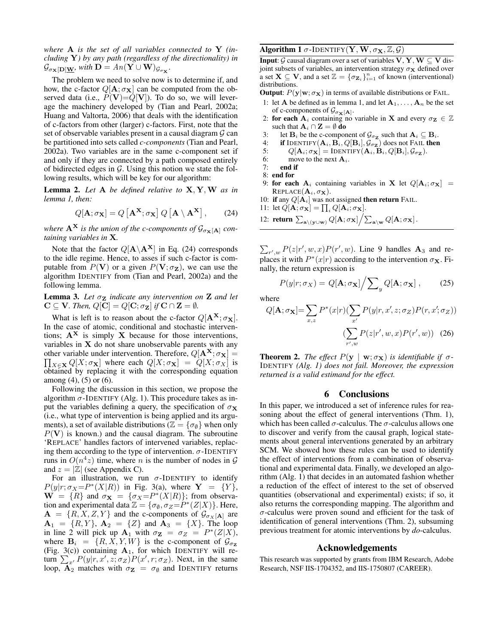*where* A *is the set of all variables connected to* Y *(including* Y*) by any path (regardless of the directionality) in*  $\mathcal{G}_{\sigma_{\mathbf{X}}[\mathbf{D}]\underline{\mathbf{W}}}$ , with  $\mathbf{D} = An(\mathbf{Y} \cup \mathbf{W})_{\mathcal{G}_{\sigma_{\mathbf{X}}}}$ .

The problem we need to solve now is to determine if, and how, the c-factor  $Q[\mathbf{A}; \sigma_{\mathbf{X}}]$  can be computed from the observed data (i.e.,  $P(V)=Q[V]$ ). To do so, we will leverage the machinery developed by (Tian and Pearl, 2002a; Huang and Valtorta, 2006) that deals with the identification of c-factors from other (larger) c-factors. First, note that the set of observable variables present in a causal diagram  $G$  can be partitioned into sets called *c-components* (Tian and Pearl, 2002a). Two variables are in the same c-component set if and only if they are connected by a path composed entirely of bidirected edges in  $G$ . Using this notion we state the following results, which will be key for our algorithm:

Lemma 2. *Let* A *be defined relative to* X, Y,W *as in lemma 1, then:*

$$
Q[\mathbf{A}; \sigma_{\mathbf{X}}] = Q[\mathbf{A}^{\mathbf{X}}; \sigma_{\mathbf{X}}] Q[\mathbf{A} \setminus \mathbf{A}^{\mathbf{X}}], \qquad (24)
$$

*where*  $A^X$  *is the union of the c-components of*  $\mathcal{G}_{\sigma_X[A]}$  *containing variables in* X*.*

Note that the factor  $Q[\mathbf{A} \backslash \mathbf{A}^{\mathbf{X}}]$  in Eq. (24) corresponds to the idle regime. Hence, to asses if such c-factor is computable from  $P(V)$  or a given  $P(V;\sigma_Z)$ , we can use the algorithm IDENTIFY from (Tian and Pearl, 2002a) and the following lemma.

**Lemma 3.** Let  $\sigma_{\mathbf{Z}}$  *indicate any intervention on*  $\mathbf{Z}$  *and let*  $C \subseteq V$ *. Then,*  $Q[C] = Q[C; \sigma_Z]$  *if*  $C \cap Z = \emptyset$ *.* 

What is left is to reason about the c-factor  $Q[\mathbf{A}^{\mathbf{X}}; \sigma_{\mathbf{X}}]$ . In the case of atomic, conditional and stochastic interventions;  $A^X$  is simply X because for those interventions, variables in  $X$  do not share unobservable parents with any other variable under intervention. Therefore,  $Q[\mathbf{A}^{\mathbf{X}}; \sigma_{\mathbf{X}}] =$  $\prod_{X \in \mathbf{X}} Q[X; \sigma_{\mathbf{X}}]$  where each  $Q[X; \sigma_{\mathbf{X}}] = Q[X; \sigma_X]$  is obtained by replacing it with the corresponding equation among (4), (5) or (6).

Following the discussion in this section, we propose the algorithm  $\sigma$ -IDENTIFY (Alg. 1). This procedure takes as input the variables defining a query, the specification of  $\sigma_{\mathbf{X}}$ (i.e., what type of intervention is being applied and its arguments), a set of available distributions ( $\mathbb{Z} = {\lbrace \sigma_{\emptyset} \rbrace}$  when only  $P(V)$  is known.) and the causal diagram. The subroutine 'REPLACE' handles factors of intervened variables, replacing them according to the type of intervention.  $\sigma$ -IDENTIFY runs in  $O(n^4z)$  time, where n is the number of nodes in  $\mathcal G$ and  $z = |\mathbb{Z}|$  (see Appendix C).

For an illustration, we run  $\sigma$ -IDENTIFY to identify  $P(y|r; \sigma_X = P^*(X|R))$  in Fig. 3(a), where  $Y = \{Y\}$ ,  $\mathbf{W} = \{R\}$  and  $\sigma_{\mathbf{X}} = \{\sigma_X = P^*(X|R)\};$  from observation and experimental data  $\mathbb{Z} = {\sigma_{\emptyset}, \sigma_Z = P^*(Z|X)}$ . Here,  $A = \{R, X, Z, Y\}$  and the c-components of  $\mathcal{G}_{\sigma_X[A]}$  are  $A_1 = \{R, Y\}, A_2 = \{Z\}$  and  $A_3 = \{X\}.$  The loop in line 2 will pick up  $\mathbf{A}_1$  with  $\sigma_{\mathbf{Z}} = \sigma_Z = P^*(Z|X)$ , where  $\mathbf{B}_i = \{R, X, Y, W\}$  is the c-component of  $\mathcal{G}_{\sigma_z}$ (Fig. 3(c)) containing  $A_1$ , for which IDENTIFY will return  $\sum_{x'} P(y|r, x', z; \sigma_Z) P(x', r; \sigma_Z)$ . Next, in the same loop,  $\mathbf{A}_2$  matches with  $\sigma_{\mathbf{Z}} = \sigma_{\emptyset}$  and IDENTIFY returns

## Algorithm 1  $\sigma$ -IDENTIFY(Y, W,  $\sigma_{\mathbf{X}}, \mathbb{Z}, \mathcal{G}$ )

**Input:**  $\mathcal{G}$  causal diagram over a set of variables  $V, Y, W \subseteq V$  disjoint subsets of variables, an intervention strategy  $\sigma$ **x** defined over a set  $\mathbf{X} \subseteq \mathbf{V}$ , and a set  $\mathbb{Z} = {\{\sigma_{\mathbf{Z}_i}\}}_{i=1}^n$  of known (interventional) distributions.

**Output**:  $P(y|w; \sigma_X)$  in terms of available distributions or FAIL.

- 1: let **A** be defined as in lemma 1, and let  $A_1, \ldots, A_n$  be the set of c-components of  $\mathcal{G}_{\sigma_{\mathbf{X}}[\mathbf{A}]}$ .
- 2: for each  $A_i$  containing no variable in X and every  $\sigma_z \in \mathbb{Z}$ such that  $\mathbf{A}_i \cap \mathbf{Z} = \emptyset$  do
- 3: let  $\mathbf{B}_i$  be the c-component of  $\mathcal{G}_{\sigma_{\mathbf{Z}}}$  such that  $\mathbf{A}_i \subseteq \mathbf{B}_i$ .
- 4: if IDENTIFY $({\bf A}_i,{\bf B}_i,Q[{\bf B}_i],{\cal G}_{\sigma_{\bf Z}})$  does not Fail then
- 5:  $Q[\mathbf{A}_i; \sigma_{\mathbf{X}}] = \text{IDENTIFY}(\mathbf{A}_i, \mathbf{B}_i, Q[\mathbf{B}_i], \mathcal{G}_{\sigma_{\mathbf{Z}}}).$
- 6: move to the next  $A_i$ .
- 7: end if
- 8: end for
- 9: for each  $A_i$  containing variables in X let  $Q[A_i; \sigma_X]$  =  $REPLACE(A<sub>i</sub>, \sigma<sub>X</sub>)$ .
- 10: if any  $Q[A_i]$  was not assigned then return FAIL.
- 11: let  $Q[\mathbf{A}; \sigma_{\mathbf{X}}] = \prod_i Q[\mathbf{A}_i; \sigma_{\mathbf{X}}].$
- 12: return  $\sum_{\mathbf{a}\setminus(\mathbf{y}\cup\mathbf{w})} Q[\mathbf{A};\sigma\mathbf{x}] / \sum_{\mathbf{a}\setminus\mathbf{w}} Q[\mathbf{A};\sigma\mathbf{x}]$ .

 $\sum_{r',w} P(z|r',w,x)P(r',w)$ . Line 9 handles  $\mathbf{A}_3$  and replaces it with  $P^*(x|r)$  according to the intervention  $\sigma_{\mathbf{X}}$ . Finally, the return expression is

$$
P(y|r; \sigma_X) = Q[\mathbf{A}; \sigma_{\mathbf{X}}] / \sum_{y} Q[\mathbf{A}; \sigma_{\mathbf{X}}], \quad (25)
$$

where

$$
Q[\mathbf{A}; \sigma_{\mathbf{X}}] = \sum_{x,z} P^*(x|r) (\sum_{x'} P(y|r, x', z; \sigma_Z) P(r, x'; \sigma_Z))
$$

$$
(\sum_{r',w} P(z|r', w, x) P(r', w)) (26)
$$

**Theorem 2.** *The effect*  $P(y | w; \sigma_X)$  *is identifiable if*  $\sigma$ -IDENTIFY *(Alg. 1) does not fail. Moreover, the expression returned is a valid estimand for the effect.*

#### 6 Conclusions

In this paper, we introduced a set of inference rules for reasoning about the effect of general interventions (Thm. 1), which has been called  $\sigma$ -calculus. The  $\sigma$ -calculus allows one to discover and verify from the causal graph, logical statements about general interventions generated by an arbitrary SCM. We showed how these rules can be used to identify the effect of interventions from a combination of observational and experimental data. Finally, we developed an algorithm (Alg. 1) that decides in an automated fashion whether a reduction of the effect of interest to the set of observed quantities (observational and experimental) exists; if so, it also returns the corresponding mapping. The algorithm and  $\sigma$ -calculus were proven sound and efficient for the task of identification of general interventions (Thm. 2), subsuming previous treatment for atomic interventions by *do*-calculus.

#### Acknowledgements

This research was supported by grants from IBM Research, Adobe Research, NSF IIS-1704352, and IIS-1750807 (CAREER).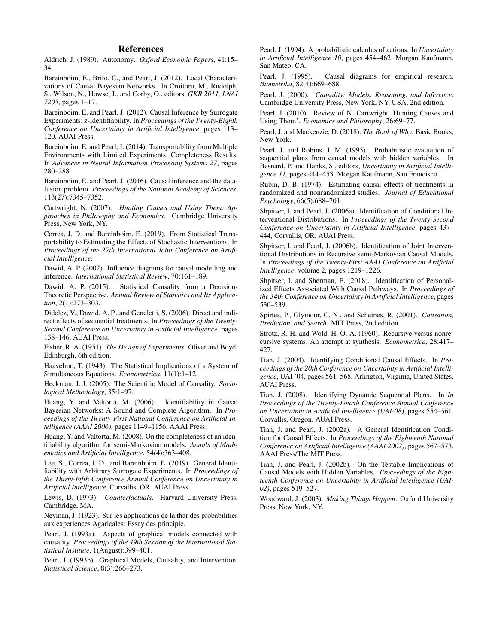## References

Aldrich, J. (1989). Autonomy. *Oxford Economic Papers*, 41:15– 34.

Bareinboim, E., Brito, C., and Pearl, J. (2012). Local Characterizations of Causal Bayesian Networks. In Croitoru, M., Rudolph, S., Wilson, N., Howse, J., and Corby, O., editors, *GKR 2011, LNAI 7205*, pages 1–17.

Bareinboim, E. and Pearl, J. (2012). Causal Inference by Surrogate Experiments: z-Identifiability. In *Proceedings of the Twenty-Eighth Conference on Uncertainty in Artificial Intelligence*, pages 113– 120. AUAI Press.

Bareinboim, E. and Pearl, J. (2014). Transportability from Multiple Environments with Limited Experiments: Completeness Results. In *Advances in Neural Information Processing Systems 27*, pages 280–288.

Bareinboim, E. and Pearl, J. (2016). Causal inference and the datafusion problem. *Proceedings of the National Academy of Sciences*, 113(27):7345–7352.

Cartwright, N. (2007). *Hunting Causes and Using Them: Approaches in Philosophy and Economics*. Cambridge University Press, New York, NY.

Correa, J. D. and Bareinboim, E. (2019). From Statistical Transportability to Estimating the Effects of Stochastic Interventions. In *Proceedings of the 27th International Joint Conference on Artificial Intelligence*.

Dawid, A. P. (2002). Influence diagrams for causal modelling and inference. *International Statistical Review*, 70:161–189.

Dawid, A. P. (2015). Statistical Causality from a Decision-Theoretic Perspective. *Annual Review of Statistics and Its Application*, 2(1):273–303.

Didelez, V., Dawid, A. P., and Geneletti, S. (2006). Direct and indirect effects of sequential treatments. In *Proceedings of the Twenty-Second Conference on Uncertainty in Artificial Intelligence*, pages 138–146. AUAI Press.

Fisher, R. A. (1951). *The Design of Experiments*. Oliver and Boyd, Edinburgh, 6th edition.

Haavelmo, T. (1943). The Statistical Implications of a System of Simultaneous Equations. *Econometrica*, 11(1):1–12.

Heckman, J. J. (2005). The Scientific Model of Causality. *Sociological Methodology*, 35:1–97.

Huang, Y. and Valtorta, M. (2006). Identifiability in Causal Bayesian Networks: A Sound and Complete Algorithm. In *Proceedings of the Twenty-First National Conference on Artificial Intelligence (AAAI 2006)*, pages 1149–1156. AAAI Press.

Huang, Y. and Valtorta, M. (2008). On the completeness of an identifiability algorithm for semi-Markovian models. *Annals of Mathematics and Artificial Intelligence*, 54(4):363–408.

Lee, S., Correa, J. D., and Bareinboim, E. (2019). General Identifiability with Arbitrary Surrogate Experiments. In *Proceedings of the Thirty-Fifth Conference Annual Conference on Uncertainty in Artificial Intelligence*, Corvallis, OR. AUAI Press.

Lewis, D. (1973). *Counterfactuals*. Harvard University Press, Cambridge, MA.

Neyman, J. (1923). Sur les applications de la thar des probabilities aux experiences Agaricales: Essay des principle.

Pearl, J. (1993a). Aspects of graphical models connected with causality. *Proceedings of the 49th Session of the International Statistical Institute*, 1(August):399–401.

Pearl, J. (1993b). Graphical Models, Causality, and Intervention. *Statistical Science*, 8(3):266–273.

Pearl, J. (1994). A probabilistic calculus of actions. In *Uncertainty in Artificial Intelligence 10*, pages 454–462. Morgan Kaufmann, San Mateo, CA.

Pearl, J. (1995). Causal diagrams for empirical research. *Biometrika*, 82(4):669–688.

Pearl, J. (2000). *Causality: Models, Reasoning, and Inference*. Cambridge University Press, New York, NY, USA, 2nd edition.

Pearl, J. (2010). Review of N. Cartwright 'Hunting Causes and Using Them'. *Economics and Philosophy*, 26:69–77.

Pearl, J. and Mackenzie, D. (2018). *The Book of Why*. Basic Books, New York.

Pearl, J. and Robins, J. M. (1995). Probabilistic evaluation of sequential plans from causal models with hidden variables. In Besnard, P. and Hanks, S., editors, *Uncertainty in Artificial Intelligence 11*, pages 444–453. Morgan Kaufmann, San Francisco.

Rubin, D. B. (1974). Estimating causal effects of treatments in randomized and nonrandomized studies. *Journal of Educational Psychology*, 66(5):688–701.

Shpitser, I. and Pearl, J. (2006a). Identification of Conditional Interventional Distributions. In *Proceedings of the Twenty-Second Conference on Uncertainty in Artificial Intelligence*, pages 437– 444, Corvallis, OR. AUAI Press.

Shpitser, I. and Pearl, J. (2006b). Identification of Joint Interventional Distributions in Recursive semi-Markovian Causal Models. In *Proceedings of the Twenty-First AAAI Conference on Artificial Intelligence*, volume 2, pages 1219–1226.

Shpitser, I. and Sherman, E. (2018). Identification of Personalized Effects Associated With Causal Pathways. In *Proceedings of the 34th Conference on Uncertainty in Artificial Intelligence*, pages 530–539.

Spirtes, P., Glymour, C. N., and Scheines, R. (2001). *Causation, Prediction, and Search*. MIT Press, 2nd edition.

Strotz, R. H. and Wold, H. O. A. (1960). Recursive versus nonrecursive systems: An attempt at synthesis. *Econometrica*, 28:417– 427.

Tian, J. (2004). Identifying Conditional Causal Effects. In *Proceedings of the 20th Conference on Uncertainty in Artificial Intelligence*, UAI '04, pages 561–568, Arlington, Virginia, United States. AUAI Press.

Tian, J. (2008). Identifying Dynamic Sequential Plans. In *In Proceedings of the Twenty-Fourth Conference Annual Conference on Uncertainty in Artificial Intelligence (UAI-08)*, pages 554–561, Corvallis, Oregon. AUAI Press.

Tian, J. and Pearl, J. (2002a). A General Identification Condition for Causal Effects. In *Proceedings of the Eighteenth National Conference on Artificial Intelligence (AAAI 2002)*, pages 567–573. AAAI Press/The MIT Press.

Tian, J. and Pearl, J. (2002b). On the Testable Implications of Causal Models with Hidden Variables. *Proceedings of the Eighteenth Conference on Uncertainty in Artificial Intelligence (UAI-02)*, pages 519–527.

Woodward, J. (2003). *Making Things Happen*. Oxford University Press, New York, NY.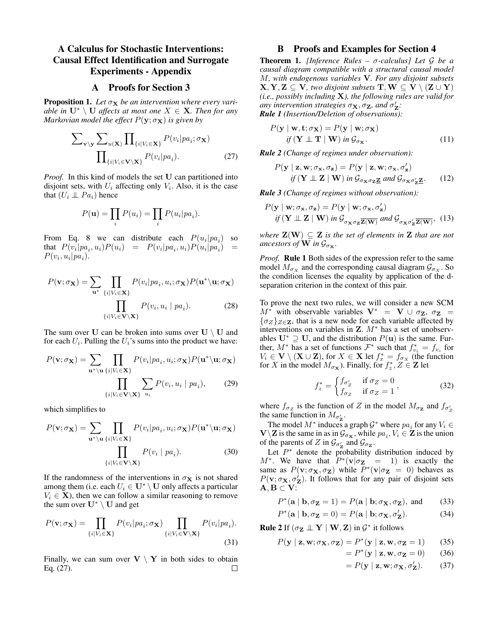## A Calculus for Stochastic Interventions: Causal Effect Identification and Surrogate Experiments - Appendix

### A Proofs for Section 3

**Proposition 1.** Let  $\sigma_X$  be an intervention where every vari*able in*  $\mathbf{U}^* \setminus \mathbf{U}$  *affects at most one*  $X \in \mathbf{X}$ *. Then for any Markovian model the effect*  $P(y; \sigma_X)$  *is given by* 

$$
\sum_{\mathbf{v} \setminus \mathbf{y}} \sum_{u(\mathbf{X})} \prod_{\{i \mid V_i \in \mathbf{X}\}} P(v_i | pa_i; \sigma_{\mathbf{X}})
$$

$$
\prod_{\{i \mid V_i \in \mathbf{V} \setminus \mathbf{X}\}} P(v_i | pa_i). \tag{27}
$$

*Proof.* In this kind of models the set U can partitioned into disjoint sets, with  $U_i$  affecting only  $V_i$ . Also, it is the case that  $(U_i \perp\!\!\!\perp Pa_i)$  hence

$$
P(\mathbf{u}) = \prod_i P(u_i) = \prod_i P(u_i | pa_i).
$$

From Eq. 8 we can distribute each  $P(u_i|pa_i)$  so that  $P(v_i|pa_i, u_i)P(u_i) = P(v_i|pa_i, u_i)P(u_i|pa_i) =$  $P(v_i, u_i|pa_i).$ 

$$
P(\mathbf{v}; \sigma_{\mathbf{X}}) = \sum_{\mathbf{u}^*} \prod_{\{i \mid V_i \in \mathbf{X}\}} P(v_i | pa_i, u_i; \sigma_{\mathbf{X}}) P(\mathbf{u}^* \backslash \mathbf{u}; \sigma_{\mathbf{X}})
$$

$$
\prod_{\{i \mid V_i \in \mathbf{V} \backslash \mathbf{X}\}} P(v_i, u_i | pa_i). \tag{28}
$$

The sum over U can be broken into sums over  $U \setminus U$  and for each  $U_i$ . Pulling the  $U_i$ 's sums into the product we have:

$$
P(\mathbf{v}; \sigma_{\mathbf{X}}) = \sum_{\mathbf{u}^* \backslash \mathbf{u}} \prod_{\{i \mid V_i \in \mathbf{X}\}} P(v_i | pa_i, u_i; \sigma_{\mathbf{X}}) P(\mathbf{u}^* \backslash \mathbf{u}; \sigma_{\mathbf{X}})
$$

$$
\prod_{\{i \mid V_i \in \mathbf{V} \backslash \mathbf{X}\}} \sum_{u_i} P(v_i, u_i | pa_i), \qquad (29)
$$

which simplifies to

$$
P(\mathbf{v}; \sigma_{\mathbf{X}}) = \sum_{\mathbf{u}^* \backslash \mathbf{u}} \prod_{\{i \mid V_i \in \mathbf{X}\}} P(v_i | pa_i, u_i; \sigma_{\mathbf{X}}) P(\mathbf{u}^* \backslash \mathbf{u}; \sigma_{\mathbf{X}})
$$

$$
\prod_{\{i \mid V_i \in \mathbf{V} \backslash \mathbf{X}\}} P(v_i | pa_i). \tag{30}
$$

If the randomness of the interventions in  $\sigma$ **x** is not shared among them (i.e. each  $U_i \in U^* \setminus U$  only affects a particular  $V_i \in \mathbf{X}$ ), then we can follow a similar reasoning to remove the sum over  $\mathbf{U}^* \setminus \mathbf{U}$  and get

$$
P(\mathbf{v};\sigma_{\mathbf{X}}) = \prod_{\{i|V_i \in \mathbf{X}\}} P(v_i|pa_i;\sigma_{\mathbf{X}}) \prod_{\{i|V_i \in \mathbf{V} \setminus \mathbf{X}\}} P(v_i|pa_i).
$$
\n(31)

Finally, we can sum over  $V \setminus Y$  in both sides to obtain Eq. (27). □

## B Proofs and Examples for Section 4

Theorem 1. *[Inference Rules –* σ*-calculus] Let* G *be a causal diagram compatible with a structural causal model* M*, with endogenous variables* V*. For any disjoint subsets*  $X, Y, Z \subseteq V$ *, two disjoint subsets*  $T, W \subseteq V \setminus (Z \cup Y)$ *(i.e., possibly including* X*), the following rules are valid for any intervention strategies*  $\sigma_{\mathbf{X}}, \sigma_{\mathbf{Z}}$ *, and*  $\sigma'_{\mathbf{Z}}$ *: Rule 1 (Insertion/Deletion of observations):*

$$
P(\mathbf{y} \mid \mathbf{w}, \mathbf{t}; \sigma_{\mathbf{X}}) = P(\mathbf{y} \mid \mathbf{w}; \sigma_{\mathbf{X}})
$$
  
if  $(\mathbf{Y} \perp \mathbf{T} \mid \mathbf{W})$  in  $\mathcal{G}_{\sigma_{\mathbf{X}}}.$  (11)

*Rule 2 (Change of regimes under observation):*

$$
P(\mathbf{y} \mid \mathbf{z}, \mathbf{w}; \sigma_{\mathbf{x}}, \sigma_{\mathbf{z}}) = P(\mathbf{y} \mid \mathbf{z}, \mathbf{w}; \sigma_{\mathbf{x}}, \sigma_{\mathbf{z}}')
$$
  
if  $(\mathbf{Y} \perp \mathbf{Z} \mid \mathbf{W})$  in  $\mathcal{G}_{\sigma_{\mathbf{X}} \sigma_{\mathbf{Z}} \mathbf{Z}}$  and  $\mathcal{G}_{\sigma_{\mathbf{X}} \sigma_{\mathbf{Z}}' \mathbf{Z'}}$ . (12)

*Rule 3 (Change of regimes without observation):*

$$
P(\mathbf{y} \mid \mathbf{w}; \sigma_{\mathbf{x}}, \sigma_{\mathbf{z}}) = P(\mathbf{y} \mid \mathbf{w}; \sigma_{\mathbf{x}}, \sigma_{\mathbf{z}}')
$$
  
if  $(\mathbf{Y} \perp \mathbf{Z} \mid \mathbf{W})$  in  $\mathcal{G}_{\sigma_{\mathbf{X}} \sigma_{\mathbf{Z}} \mathbf{Z}(\mathbf{W})}$  and  $\mathcal{G}_{\sigma_{\mathbf{X}} \sigma_{\mathbf{Z}}' \mathbf{Z}(\mathbf{W})}$ , (13)

*where*  $\mathbf{Z}(\mathbf{W}) \subseteq \mathbf{Z}$  *is the set of elements in*  $\mathbf{Z}$  *that are not ancestors of* **W** in  $\mathcal{G}_{\sigma_{\mathbf{x}}}$ .

*Proof.* Rule 1 Both sides of the expression refer to the same model  $M_{\sigma_X}$  and the corresponding causal diagram  $\mathcal{G}_{\sigma_X}$ . So the condition licenses the equality by application of the dseparation criterion in the context of this pair.

To prove the next two rules, we will consider a new SCM  $M^*$  with observable variables  $V^* = V \cup \sigma_Z$ ,  $\sigma_Z =$  $\{\sigma_Z\}_{Z\in\mathbf{Z}}$ , that is a new node for each variable affected by interventions on variables in  $Z$ .  $M^*$  has a set of unobservables  $\mathbf{U}^*$  ⊇  $\mathbf{U}$ , and the distribution  $P(\mathbf{u})$  is the same. Further,  $M^*$  has a set of functions  $\mathcal{F}^*$  such that  $f_{v_i}^* = f_{v_i}$  for  $V_i \in \mathbf{V} \setminus (\mathbf{X} \cup \mathbf{Z})$ , for  $X \in \mathbf{X}$  let  $f_x^* = f_{\sigma_X}$  (the function for X in the model  $M_{\sigma_{\mathbf{X}}}$ ). Finally, for  $f_z^*, Z \in \mathbf{Z}$  let

$$
f_z^* = \begin{cases} f_{\sigma'_Z} & \text{if } \sigma_Z = 0\\ f_{\sigma_Z} & \text{if } \sigma_Z = 1 \end{cases},
$$
(32)

where  $f_{\sigma_Z}$  is the function of Z in the model  $M_{\sigma_Z}$  and  $f_{\sigma'_Z}$ the same function in  $M_{\sigma'_{\mathbf{Z}}}$ .

The model  $M^*$  induces a graph  $\mathcal{G}^*$  where  $pa_i$  for any  $V_i \in$  $\mathbf{V} \backslash \mathbf{Z}$  is the same in as in  $\mathcal{G}_{\sigma_{\mathbf{X}}}$ , while  $pa_i, V_i \in \mathbf{Z}$  is the union of the parents of Z in  $\mathcal{G}_{\sigma_{\mathbf{Z}}^{\prime}}$  and  $\mathcal{G}_{\sigma_{\mathbf{Z}}}$ .

Let  $P^*$  denote the probability distribution induced by  $M^*$ . We have that  $P^*(\mathbf{v}|\sigma_{\mathbf{Z}} = 1)$  is exactly the same as  $P(\mathbf{v}; \sigma_{\mathbf{X}}, \sigma_{\mathbf{Z}})$  while  $P^*(\mathbf{v} | \sigma_{\mathbf{Z}} = 0)$  behaves as  $P(\mathbf{v}; \sigma_{\mathbf{X}}, \sigma_{\mathbf{Z}}^{\prime})$ . It follows that for any pair of disjoint sets  $A, B \subset V$ :

$$
P^*(\mathbf{a} | \mathbf{b}, \sigma_{\mathbf{Z}} = 1) = P(\mathbf{a} | \mathbf{b}; \sigma_{\mathbf{X}}, \sigma_{\mathbf{Z}}), \text{ and } (33)
$$

$$
P^*(\mathbf{a} \mid \mathbf{b}, \sigma_\mathbf{Z} = 0) = P(\mathbf{a} \mid \mathbf{b}; \sigma_\mathbf{X}, \sigma'_\mathbf{Z}). \tag{34}
$$

**Rule 2** If  $(\sigma_{\mathbf{Z}} \perp \!\!\! \perp \mathbf{Y} \mid \mathbf{W}, \mathbf{Z})$  in  $\mathcal{G}^*$  it follows

$$
P(\mathbf{y} \mid \mathbf{z}, \mathbf{w}; \sigma_{\mathbf{X}}, \sigma_{\mathbf{Z}}) = P^*(\mathbf{y} \mid \mathbf{z}, \mathbf{w}, \sigma_{\mathbf{Z}} = 1)
$$
 (35)

$$
= P^*(\mathbf{y} \mid \mathbf{z}, \mathbf{w}, \sigma_{\mathbf{Z}} = 0) \qquad (36)
$$

$$
= P(\mathbf{y} \mid \mathbf{z}, \mathbf{w}; \sigma_{\mathbf{X}}, \sigma_{\mathbf{Z}}'). \tag{37}
$$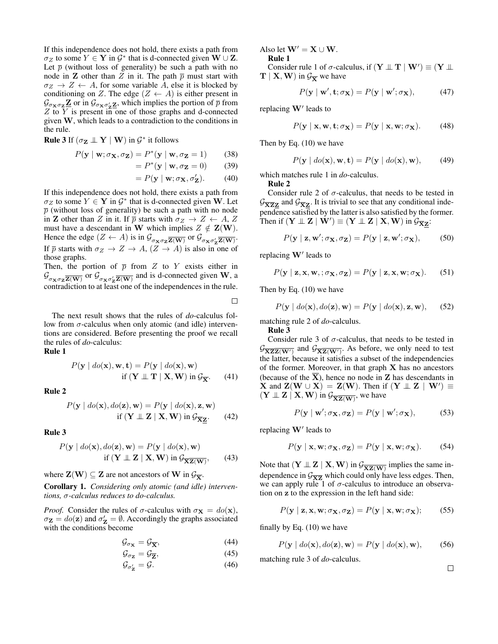If this independence does not hold, there exists a path from  $\sigma_Z$  to some  $Y \in \mathbf{Y}$  in  $\mathcal{G}^*$  that is d-connected given  $\mathbf{W} \cup \mathbf{Z}$ . Let  $\bar{p}$  (without loss of generality) be such a path with no node in **Z** other than Z in it. The path  $\overline{p}$  must start with  $\sigma_Z \to Z \leftarrow A$ , for some variable A, else it is blocked by conditioning on Z. The edge  $(Z \leftarrow A)$  is either present in  $\mathcal{G}_{\sigma \mathbf{x} \sigma_{\mathbf{z}} \mathbf{z}} \mathbf{z}$  or in  $\mathcal{G}_{\sigma \mathbf{x} \sigma_{\mathbf{z}}' \mathbf{z}}$ , which implies the portion of  $\bar{p}$  from  $Z$  to  $Y$  is present in one of those graphs and d-connected given W, which leads to a contradiction to the conditions in the rule.

**Rule 3** If  $(\sigma_{\mathbf{Z}} \perp \!\!\! \perp \mathbf{Y} \mid \mathbf{W})$  in  $\mathcal{G}^*$  it follows

$$
P(\mathbf{y} \mid \mathbf{w}; \sigma_{\mathbf{X}}, \sigma_{\mathbf{Z}}) = P^*(\mathbf{y} \mid \mathbf{w}, \sigma_{\mathbf{Z}} = 1)
$$
 (38)

$$
= P^*(\mathbf{y} \mid \mathbf{w}, \sigma_{\mathbf{Z}} = 0) \tag{39}
$$

$$
= P(\mathbf{y} \mid \mathbf{w}; \sigma_{\mathbf{X}}, \sigma_{\mathbf{Z}}'). \tag{40}
$$

If this independence does not hold, there exists a path from  $\sigma_Z$  to some  $Y \in \mathbf{Y}$  in  $\mathcal{G}^*$  that is d-connected given W. Let  $\bar{p}$  (without loss of generality) be such a path with no node in **Z** other than Z in it. If  $\overline{p}$  starts with  $\sigma_Z \rightarrow Z \leftarrow A, Z$ must have a descendant in W which implies  $Z \notin \mathbf{Z}(\mathbf{W})$ . Hence the edge  $(Z \leftarrow A)$  is in  $\mathcal{G}_{\sigma_{\mathbf{X}} \sigma_{\mathbf{Z}} \overline{\mathbf{Z}(\mathbf{W})}}$  or  $\mathcal{G}_{\sigma_{\mathbf{X}} \sigma_{\mathbf{Z}}' \overline{\mathbf{Z}(\mathbf{W})}}$ . If  $\bar{p}$  starts with  $\sigma_Z \to Z \to A$ ,  $(Z \to A)$  is also in one of those graphs.

Then, the portion of  $\bar{p}$  from Z to Y exists either in  $\mathcal{G}_{\sigma_{\mathbf{X}}\sigma_{\mathbf{Z}}\mathbf{Z}(\mathbf{W})}$  or  $\mathcal{G}_{\sigma_{\mathbf{X}}\sigma_{\mathbf{Z}}'\mathbf{Z}(\mathbf{W})}$  and is d-connected given W, a contradiction to at least one of the independences in the rule.

П

The next result shows that the rules of *do*-calculus follow from  $\sigma$ -calculus when only atomic (and idle) interventions are considered. Before presenting the proof we recall the rules of *do*-calculus:

Rule 1

$$
P(\mathbf{y} \mid do(\mathbf{x}), \mathbf{w}, \mathbf{t}) = P(\mathbf{y} \mid do(\mathbf{x}), \mathbf{w})
$$
  
if  $(\mathbf{Y} \perp \mathbf{T} \mid \mathbf{X}, \mathbf{W})$  in  $\mathcal{G}_{\overline{\mathbf{X}}}$ . (41)

Rule 2

$$
P(\mathbf{y} \mid do(\mathbf{x}), do(\mathbf{z}), \mathbf{w}) = P(\mathbf{y} \mid do(\mathbf{x}), \mathbf{z}, \mathbf{w})
$$
  
if  $(\mathbf{Y} \perp \mathbf{Z} \mid \mathbf{X}, \mathbf{W})$  in  $\mathcal{G}_{\overline{\mathbf{X}}\mathbf{Z}}$ . (42)

Rule 3

$$
P(\mathbf{y} \mid do(\mathbf{x}), do(\mathbf{z}), \mathbf{w}) = P(\mathbf{y} \mid do(\mathbf{x}), \mathbf{w})
$$
  
if  $(\mathbf{Y} \perp \mathbf{Z} \mid \mathbf{X}, \mathbf{W})$  in  $\mathcal{G}_{\overline{\mathbf{XZ}(\mathbf{W})}}$ , (43)

where  $\mathbf{Z}(\mathbf{W}) \subseteq \mathbf{Z}$  are not ancestors of  $\mathbf{W}$  in  $\mathcal{G}_{\overline{\mathbf{X}}}$ .

Corollary 1. *Considering only atomic (and idle) interventions,* σ*-calculus reduces to do-calculus.*

*Proof.* Consider the rules of  $\sigma$ -calculus with  $\sigma_{\mathbf{X}} = do(\mathbf{x}),$  $\sigma_{\mathbf{Z}} = do(\mathbf{z})$  and  $\sigma'_{\mathbf{Z}} = \emptyset$ . Accordingly the graphs associated with the conditions become

$$
\mathcal{G}_{\sigma_{\mathbf{X}}} = \mathcal{G}_{\overline{\mathbf{X}}},\tag{44}
$$

$$
\mathcal{G}_{\sigma_{\mathbf{Z}}} = \mathcal{G}_{\overline{\mathbf{Z}}},\tag{45}
$$

$$
\mathcal{G}_{\sigma'_{\mathbf{Z}}} = \mathcal{G}.\tag{46}
$$

Also let  $W' = X \cup W$ . Rule 1

Consider rule 1 of  $\sigma$ -calculus, if  $(\mathbf{Y} \perp \!\!\! \perp \mathbf{T} \mid \mathbf{W}') \equiv (\mathbf{Y} \perp \!\!\! \perp \mathbf{W}')$  $T \mid X, W$  in  $\mathcal{G}_{\overline{X}}$  we have

$$
P(\mathbf{y} \mid \mathbf{w}', \mathbf{t}; \sigma_{\mathbf{X}}) = P(\mathbf{y} \mid \mathbf{w}'; \sigma_{\mathbf{X}}), \tag{47}
$$

replacing  $W'$  leads to

$$
P(\mathbf{y} \mid \mathbf{x}, \mathbf{w}, \mathbf{t}; \sigma_{\mathbf{X}}) = P(\mathbf{y} \mid \mathbf{x}, \mathbf{w}; \sigma_{\mathbf{X}}). \tag{48}
$$

Then by Eq. (10) we have

$$
P(\mathbf{y} \mid \text{do}(\mathbf{x}), \mathbf{w}, \mathbf{t}) = P(\mathbf{y} \mid \text{do}(\mathbf{x}), \mathbf{w}), \tag{49}
$$

which matches rule 1 in *do*-calculus.

Rule 2

Consider rule 2 of  $\sigma$ -calculus, that needs to be tested in  $\mathcal{G}_{\overline{X}ZZ}$  and  $\mathcal{G}_{\overline{X}Z}$ . It is trivial to see that any conditional independence satisfied by the latter is also satisfied by the former. Then if  $(\mathbf{Y} \perp \!\!\! \perp \mathbf{Z} \mid \mathbf{W}') \equiv (\mathbf{Y} \perp \!\!\! \perp \mathbf{Z} \mid \mathbf{X}, \mathbf{W})$  in  $\mathcal{G}_{\overline{\mathbf{X}} \mathbf{Z}}$ :

$$
P(\mathbf{y} \mid \mathbf{z}, \mathbf{w}'; \sigma_{\mathbf{X}}, \sigma_{\mathbf{Z}}) = P(\mathbf{y} \mid \mathbf{z}, \mathbf{w}'; \sigma_{\mathbf{X}}),
$$
 (50)

replacing  $W'$  leads to

$$
P(\mathbf{y} \mid \mathbf{z}, \mathbf{x}, \mathbf{w},; \sigma_{\mathbf{X}}, \sigma_{\mathbf{Z}}) = P(\mathbf{y} \mid \mathbf{z}, \mathbf{x}, \mathbf{w}; \sigma_{\mathbf{X}}). \tag{51}
$$

Then by Eq. (10) we have

$$
P(\mathbf{y} \mid \text{do}(\mathbf{x}), \text{do}(\mathbf{z}), \mathbf{w}) = P(\mathbf{y} \mid \text{do}(\mathbf{x}), \mathbf{z}, \mathbf{w}), \quad (52)
$$

matching rule 2 of *do*-calculus.

Rule 3

Consider rule 3 of  $\sigma$ -calculus, that needs to be tested in  $\mathcal{G}_{\overline{\mathbf{XZ}(\mathbf{W}')}}$  and  $\mathcal{G}_{\overline{\mathbf{XZ}(\mathbf{W}')}}$ . As before, we only need to test the latter, because it satisfies a subset of the independencies of the former. Moreover, in that graph X has no ancestors (because of the  $\overline{X}$ ), hence no node in Z has descendants in **X** and  $\mathbf{Z}(\mathbf{W} \cup \mathbf{X}) = \mathbf{Z}(\mathbf{W})$ . Then if  $(\mathbf{Y} \perp \perp \mathbf{Z} \mid \mathbf{W}') \equiv$  $(Y \perp\!\!\!\perp Z \mid X, W)$  in  $\mathcal{G}_{\overline{XZ(W)}}$ , we have

$$
P(\mathbf{y} \mid \mathbf{w}'; \sigma_{\mathbf{X}}, \sigma_{\mathbf{Z}}) = P(\mathbf{y} \mid \mathbf{w}'; \sigma_{\mathbf{X}}),
$$
 (53)

replacing  $W'$  leads to

$$
P(\mathbf{y} \mid \mathbf{x}, \mathbf{w}; \sigma_{\mathbf{X}}, \sigma_{\mathbf{Z}}) = P(\mathbf{y} \mid \mathbf{x}, \mathbf{w}; \sigma_{\mathbf{X}}). \tag{54}
$$

Note that  $(Y \perp\!\!\!\perp Z \mid X, W)$  in  $\mathcal{G}_{\overline{\mathbf{XZ}(\mathbf{W})}}$  implies the same independence in  $\mathcal{G}_{\overline{XZ}}$  which could only have less edges. Then, we can apply rule 1 of  $\sigma$ -calculus to introduce an observation on z to the expression in the left hand side:

$$
P(\mathbf{y} \mid \mathbf{z}, \mathbf{x}, \mathbf{w}; \sigma_{\mathbf{X}}, \sigma_{\mathbf{Z}}) = P(\mathbf{y} \mid \mathbf{x}, \mathbf{w}; \sigma_{\mathbf{X}}); \tag{55}
$$

finally by Eq. (10) we have

$$
P(\mathbf{y} \mid \text{do}(\mathbf{x}), \text{do}(\mathbf{z}), \mathbf{w}) = P(\mathbf{y} \mid \text{do}(\mathbf{x}), \mathbf{w}), \tag{56}
$$

matching rule 3 of *do*-calculus.

 $\Box$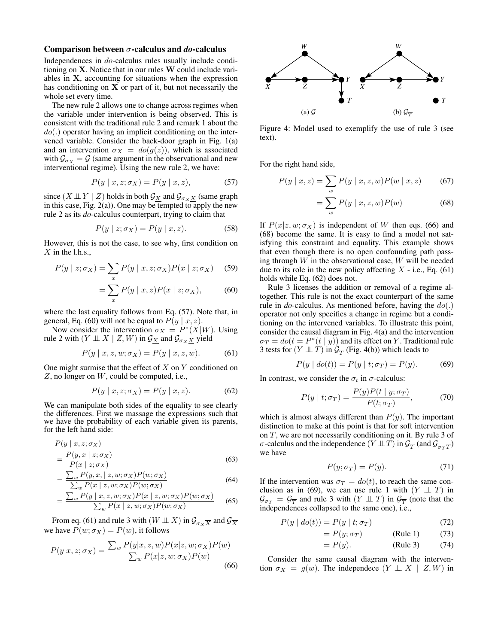#### Comparison between σ-calculus and *do*-calculus

Independences in *do*-calculus rules usually include conditioning on X. Notice that in our rules W could include variables in X, accounting for situations when the expression has conditioning on  $X$  or part of it, but not necessarily the whole set every time.

The new rule 2 allows one to change across regimes when the variable under intervention is being observed. This is consistent with the traditional rule 2 and remark 1 about the  $do(.)$  operator having an implicit conditioning on the intervened variable. Consider the back-door graph in Fig. 1(a) and an intervention  $\sigma_X = do(g(z))$ , which is associated with  $\mathcal{G}_{\sigma_X} = \mathcal{G}$  (same argument in the observational and new interventional regime). Using the new rule 2, we have:

$$
P(y \mid x, z; \sigma_X) = P(y \mid x, z), \tag{57}
$$

since  $(X \perp\!\!\!\perp Y \mid Z)$  holds in both  $\mathcal{G}_X$  and  $\mathcal{G}_{\sigma_X X}$  (same graph in this case, Fig.  $2(a)$ ). One may be tempted to apply the new rule 2 as its *do*-calculus counterpart, trying to claim that

$$
P(y \mid z; \sigma_X) = P(y \mid x, z). \tag{58}
$$

However, this is not the case, to see why, first condition on  $X$  in the l.h.s.,

$$
P(y \mid z; \sigma_X) = \sum_{x} P(y \mid x, z; \sigma_X) P(x \mid z; \sigma_X) \quad (59)
$$

$$
= \sum_{x} P(y \mid x, z) P(x \mid z; \sigma_X), \tag{60}
$$

where the last equality follows from Eq. (57). Note that, in general, Eq. (60) will not be equal to  $P(y | x, z)$ .

Now consider the intervention  $\sigma_X = P^*(X|W)$ . Using rule 2 with  $(Y \perp\!\!\!\perp X \mid Z, W)$  in  $\mathcal{G}_{\underline{X}}$  and  $\mathcal{G}_{\sigma_X \underline{X}}$  yield

$$
P(y \mid x, z, w; \sigma_X) = P(y \mid x, z, w).
$$
 (61)

One might surmise that the effect of  $X$  on  $Y$  conditioned on  $Z$ , no longer on  $W$ , could be computed, i.e.,

$$
P(y \mid x, z; \sigma_X) = P(y \mid x, z). \tag{62}
$$

We can manipulate both sides of the equality to see clearly the differences. First we massage the expressions such that we have the probability of each variable given its parents, for the left hand side:

$$
P(y \mid x, z; \sigma_X)
$$
  
= 
$$
\frac{P(y, x \mid z; \sigma_X)}{P(x \mid z; \sigma_X)}
$$
 (63)

$$
= \frac{\sum_{w} P(y, x, \mid z, w; \sigma_X) P(w; \sigma_X)}{\sum_{w} P(x \mid z, w; \sigma_X) P(w; \sigma_X)}
$$
(64)

$$
= \frac{\sum_{w} P(y \mid x, z, w; \sigma_X) P(x \mid z, w; \sigma_X) P(w; \sigma_X)}{\sum_{w} P(x \mid z, w; \sigma_X) P(w; \sigma_X)}
$$
(65)

From eq. (61) and rule 3 with  $(W \perp\!\!\!\perp X)$  in  $\mathcal{G}_{\sigma_X X}$  and  $\mathcal{G}_{\overline{X}}$ we have  $P(w; \sigma_X) = P(w)$ , it follows

$$
P(y|x, z; \sigma_X) = \frac{\sum_w P(y|x, z, w) P(x|z, w; \sigma_X) P(w)}{\sum_w P(x|z, w; \sigma_X) P(w)}
$$
(66)



Figure 4: Model used to exemplify the use of rule 3 (see text).

For the right hand side,

$$
P(y \mid x, z) = \sum_{w} P(y \mid x, z, w) P(w \mid x, z) \tag{67}
$$

$$
=\sum_{w} P(y \mid x, z, w) P(w) \tag{68}
$$

If  $P(x|z, w; \sigma_X)$  is independent of W then eqs. (66) and (68) become the same. It is easy to find a model not satisfying this constraint and equality. This example shows that even though there is no open confounding path passing through  $W$  in the observational case,  $W$  will be needed due to its role in the new policy affecting  $X$  - i.e., Eq. (61) holds while Eq. (62) does not.

Rule 3 licenses the addition or removal of a regime altogether. This rule is not the exact counterpart of the same rule in *do*-calculus. As mentioned before, having the do(.) operator not only specifies a change in regime but a conditioning on the intervened variables. To illustrate this point, consider the causal diagram in Fig. 4(a) and the intervention  $\sigma_T = do(t = P^*(t | y))$  and its effect on Y. Traditional rule 3 tests for  $(Y \perp\!\!\!\perp T)$  in  $\mathcal{G}_{\overline{T}}$  (Fig. 4(b)) which leads to

$$
P(y | do(t)) = P(y | t; \sigma_T) = P(y).
$$
 (69)

In contrast, we consider the  $\sigma_t$  in  $\sigma$ -calculus:

$$
P(y \mid t; \sigma_T) = \frac{P(y)P(t \mid y; \sigma_T)}{P(t; \sigma_T)},\tag{70}
$$

which is almost always different than  $P(y)$ . The important distinction to make at this point is that for soft intervention on T, we are not necessarily conditioning on it. By rule 3 of σ-calculus and the independence  $(Y \perp\!\!\!\perp T)$  in  $\mathcal{G}_{\overline{T}}$  (and  $\mathcal{G}_{\sigma_T \overline{T}}$ ) we have

$$
P(y; \sigma_T) = P(y). \tag{71}
$$

If the intervention was  $\sigma_T = do(t)$ , to reach the same conclusion as in (69), we can use rule 1 with  $(Y \perp \!\!\!\perp T)$  in  $\mathcal{G}_{\sigma_T} = \mathcal{G}_{\overline{T}}$  and rule 3 with  $(Y \perp\!\!\!\perp T)$  in  $\mathcal{G}_{\overline{T}}$  (note that the independences collapsed to the same one), i.e.,

$$
P(y | do(t)) = P(y | t; \sigma_T)
$$
\n(72)

$$
= P(y; \sigma_T) \quad (\text{Rule 1}) \quad (73)
$$

 $= P(y)$ . (Rule 3) (74)

Consider the same causal diagram with the intervention  $\sigma_X = g(w)$ . The independece  $(Y \perp\!\!\!\perp X \mid Z, W)$  in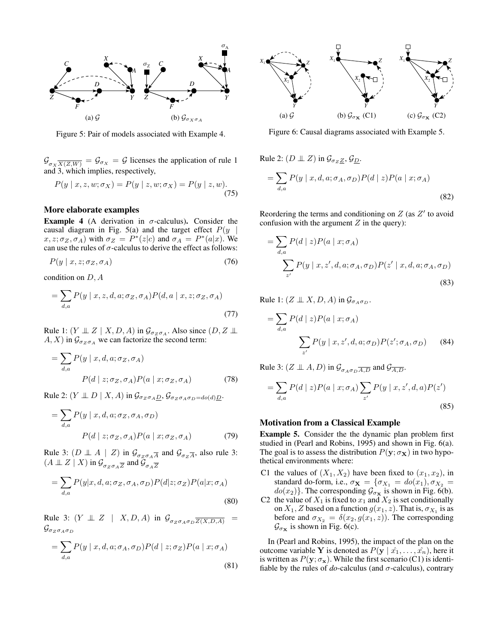

Figure 5: Pair of models associated with Example 4.

 $\mathcal{G}_{\sigma_X X(Z,W)} = \mathcal{G}_{\sigma_X} = \mathcal{G}$  licenses the application of rule 1 and 3, which implies, respectively,

$$
P(y \mid x, z, w; \sigma_X) = P(y \mid z, w; \sigma_X) = P(y \mid z, w).
$$
\n(75)

### More elaborate examples

**Example 4** (A derivation in  $\sigma$ -calculus). Consider the causal diagram in Fig. 5(a) and the target effect  $P(y |$  $x, z; \sigma_Z, \sigma_A$ ) with  $\sigma_Z = P^*(z|c)$  and  $\sigma_A = P^*(a|x)$ . We can use the rules of  $\sigma$ -calculus to derive the effect as follows:

$$
P(y \mid x, z; \sigma_Z, \sigma_A) \tag{76}
$$

condition on D, A

$$
= \sum_{d,a} P(y \mid x, z, d, a; \sigma_Z, \sigma_A) P(d, a \mid x, z; \sigma_Z, \sigma_A)
$$
\n(77)

Rule 1:  $(Y \perp Z \mid X, D, A)$  in  $\mathcal{G}_{\sigma_Z \sigma_A}$ . Also since  $(D, Z \perp \!\!\! \perp$  $A, X$ ) in  $\mathcal{G}_{\sigma z \sigma A}$  we can factorize the second term:

$$
= \sum_{d,a} P(y \mid x, d, a; \sigma_Z, \sigma_A)
$$

$$
P(d \mid z; \sigma_Z, \sigma_A) P(a \mid x; \sigma_Z, \sigma_A)
$$
(78)

Rule 2:  $(Y \perp\!\!\!\perp D \mid X, A)$  in  $\mathcal{G}_{\sigma_Z \sigma_A D}$ ,  $\mathcal{G}_{\sigma_Z \sigma_A \sigma_D = do(d)D}$ .

$$
= \sum_{d,a} P(y \mid x, d, a; \sigma_Z, \sigma_A, \sigma_D)
$$

$$
P(d \mid z; \sigma_Z, \sigma_A) P(a \mid x; \sigma_Z, \sigma_A)
$$
(79)

Rule 3:  $(D \perp \!\!\!\perp A \mid Z)$  in  $\mathcal{G}_{\sigma_Z \sigma_A \overline{A}}$  and  $\mathcal{G}_{\sigma_Z \overline{A}}$ , also rule 3:  $(A \perp\!\!\!\perp Z \mid X)$  in  $\mathcal{G}_{\sigma_Z \sigma_A \overline{Z}}$  and  $\mathcal{G}_{\sigma_A \overline{Z}}$ 

$$
= \sum_{d,a} P(y|x, d, a; \sigma_Z, \sigma_A, \sigma_D) P(d|z; \sigma_Z) P(a|x; \sigma_A)
$$
\n(80)

Rule 3:  $(Y \perp\!\!\!\perp Z \mid X, D, A)$  in  $\mathcal{G}_{\sigma_Z \sigma_A \sigma_D \overline{Z(X, D, A)}}$  $\mathcal{G}_{\sigma_Z \sigma_A \sigma_D}$ 

$$
= \sum_{d,a} P(y \mid x, d, a; \sigma_A, \sigma_D) P(d \mid z; \sigma_Z) P(a \mid x; \sigma_A)
$$
\n(81)



Figure 6: Causal diagrams associated with Example 5.

Rule 2: 
$$
(D \perp Z)
$$
 in  $\mathcal{G}_{\sigma_Z Z}$ ,  $\mathcal{G}_{\underline{D}}$ .  
\n
$$
= \sum_{d,a} P(y \mid x, d, a; \sigma_A, \sigma_D) P(d \mid z) P(a \mid x; \sigma_A)
$$
\n(82)

Reordering the terms and conditioning on  $Z$  (as  $Z'$  to avoid confusion with the argument  $Z$  in the query):

$$
= \sum_{d,a} P(d \mid z) P(a \mid x; \sigma_A)
$$
  

$$
\sum_{z'} P(y \mid x, z', d, a; \sigma_A, \sigma_D) P(z' \mid x, d, a; \sigma_A, \sigma_D)
$$
 (83)

Rule 1:  $(Z \perp X, D, A)$  in  $\mathcal{G}_{\sigma_A \sigma_D}$ .

$$
= \sum_{d,a} P(d \mid z) P(a \mid x; \sigma_A)
$$

$$
\sum_{z'} P(y \mid x, z', d, a; \sigma_D) P(z'; \sigma_A, \sigma_D) \qquad (84)
$$

Rule 3:  $(Z \perp A, D)$  in  $\mathcal{G}_{\sigma_A \sigma_D \overline{A, D}}$  and  $\mathcal{G}_{\overline{A, D}}$ .

$$
= \sum_{d,a} P(d \mid z) P(a \mid x; \sigma_A) \sum_{z'} P(y \mid x, z', d, a) P(z')
$$
\n(85)

#### Motivation from a Classical Example

Example 5. Consider the the dynamic plan problem first studied in (Pearl and Robins, 1995) and shown in Fig. 6(a). The goal is to assess the distribution  $P(y; \sigma_X)$  in two hypothetical environments where:

- C1 the values of  $(X_1, X_2)$  have been fixed to  $(x_1, x_2)$ , in standard do-form, i.e.,  $\sigma_{\mathbf{X}} = {\sigma_{X_1} = do(x_1), \sigma_{X_2}} =$  $do(x_2)$ . The corresponding  $\mathcal{G}_{\sigma_{\mathbf{X}}}$  is shown in Fig. 6(b).
- C2 the value of  $X_1$  is fixed to  $x_1$  and  $X_2$  is set conditionally on  $X_1$ , Z based on a function  $g(x_1, z)$ . That is,  $\sigma_{X_1}$  is as before and  $\sigma_{X_2} = \delta(x_2, g(x_1, z))$ . The corresponding  $\mathcal{G}_{\sigma_{\mathbf{X}}}$  is shown in Fig. 6(c).

In (Pearl and Robins, 1995), the impact of the plan on the outcome variable Y is denoted as  $P(y | \hat{x_1}, \dots, \hat{x_n})$ , here it is written as  $P(y; \sigma_x)$ . While the first scenario (C1) is identifiable by the rules of  $do$ -calculus (and  $\sigma$ -calculus), contrary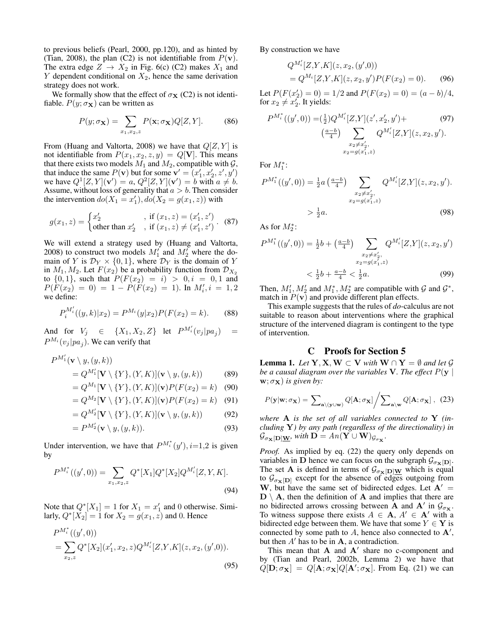to previous beliefs (Pearl, 2000, pp.120), and as hinted by (Tian, 2008), the plan (C2) is not identifiable from  $P(\mathbf{v})$ . The extra edge  $Z \rightarrow X_2$  in Fig. 6(c) (C2) makes  $X_1$  and  $Y$  dependent conditional on  $X_2$ , hence the same derivation strategy does not work.

We formally show that the effect of  $\sigma_{\mathbf{X}}$  (C2) is not identifiable.  $P(y; \sigma_X)$  can be written as

$$
P(y; \sigma_{\mathbf{X}}) = \sum_{x_1, x_2, z} P(\mathbf{x}; \sigma_{\mathbf{X}}) Q[Z, Y]. \tag{86}
$$

From (Huang and Valtorta, 2008) we have that  $Q[Z, Y]$  is not identifiable from  $P(x_1, x_2, z, y) = Q[\mathbf{V}]$ . This means that there exists two models  $M_1$  and  $M_2$ , compatible with  $\mathcal{G}$ , that induce the same  $P(\mathbf{v})$  but for some  $\mathbf{v}' = (x'_1, x'_2, z', y')$ we have  $Q^1[Z, Y](v') = a, Q^2[Z, Y](v') = b$  with  $a \neq b$ . Assume, without loss of generality that  $a > b$ . Then consider the intervention  $do(X_1 = x_1'), do(X_2 = g(x_1, z))$  with

$$
g(x_1, z) = \begin{cases} x'_2, & \text{if } (x_1, z) = (x'_1, z')\\ \text{other than } x'_2, & \text{if } (x_1, z) \neq (x'_1, z') \end{cases}.
$$
 (87)

We will extend a strategy used by (Huang and Valtorta, 2008) to construct two models  $M'_1$  and  $M'_2$  where the domain of Y is  $\mathcal{D}_Y \times \{0,1\}$ , where  $\mathcal{D}_Y$  is the domain of Y in  $M_1, M_2$ . Let  $F(x_2)$  be a probability function from  $\mathcal{D}_{X_2}$ to  $\{0, 1\}$ , such that  $P(F(x_2) = i) > 0, i = 0, 1$  and  $P(F(x_2) = 0) = 1 - P(F(x_2) = 1)$ . In  $M'_i, i = 1, 2$ we define:

$$
P_i^{M_i'}((y,k)|x_2) = P^{M_i}(y|x_2)P(F(x_2) = k).
$$
 (88)

And for  $V_j \in \{X_1, X_2, Z\}$  let  $P^{M'_i}(v_j|pa_j) =$  $P^{M_i}(v_j|pa_j)$ . We can verify that

$$
P^{M'_1}(\mathbf{v} \setminus y, (y, k))
$$
  
=  $Q^{M'_1}[\mathbf{V} \setminus \{Y\}, (Y, K)](\mathbf{v} \setminus y, (y, k))$  (89)

$$
= Q^{M_1}[\mathbf{V} \setminus \{Y\}, (Y, K)](\mathbf{v}) P(F(x_2) = k) \quad (90)
$$

$$
= Q^{M_2}[\mathbf{V} \setminus \{Y\}, (Y, K)](\mathbf{v}) P(F(x_2) = k) \quad (91)
$$

$$
= Q^{M'_{2}}[V \setminus \{Y\}, (Y, K)](v \setminus y, (y, k)) \qquad (92)
$$

$$
= \mathcal{Q} \quad [\mathbf{v} \setminus [1]_1, (1,1)](\mathbf{v} \setminus g, (g,\kappa)) \tag{92}
$$
\n
$$
= D^{M'_2}(\mathbf{v} \setminus g, (g,\kappa)) \tag{93}
$$

$$
=P^{M'_2}(\mathbf{v}\setminus y,(y,k)).\tag{93}
$$

Under intervention, we have that  $P^{M_i^*}(y')$ ,  $i=1,2$  is given by

$$
P^{M_i^*}((y',0)) = \sum_{x_1,x_2,z} Q^*[X_1]Q^*[X_2]Q^{M_i'}[Z,Y,K].
$$
\n(94)

Note that  $Q^*[X_1] = 1$  for  $X_1 = x'_1$  and 0 otherwise. Similarly,  $Q^*[X_2] = 1$  for  $X_2 = g(x_1, \overline{z})$  and 0. Hence

$$
P^{M_i^*}((y',0))
$$
  
=  $\sum_{x_2,z} Q^*[X_2](x'_1, x_2, z) Q^{M_i'}[Z, Y, K](z, x_2, (y', 0)).$  (95)

By construction we have

$$
Q^{M'_{i}}[Z,Y,K](z,x_{2},(y',0))
$$
  
=  $Q^{M_{i}}[Z,Y,K](z,x_{2},y')P(F(x_{2})=0).$  (96)

Let  $P(F(x_2') = 0) = 1/2$  and  $P(F(x_2) = 0) = (a - b)/4$ , for  $x_2 \neq x_2'$ . It yields:

$$
P^{M_i^*}((y', 0)) = (\frac{1}{2})Q^{M_i'}[Z, Y](z', x_2', y') + \qquad (97)
$$

$$
(\frac{a-b}{4}) \sum_{\substack{x_2 \neq x_2', \\ x_2 = g(x_1', z)}} Q^{M_i'}[Z, Y](z, x_2, y').
$$

For  $M_1^*$ :

$$
P^{M_1^*}((y', 0)) = \frac{1}{2}a\left(\frac{a-b}{4}\right) \sum_{\substack{x_2 \neq x'_2, \\ x_2 = g(x'_1, z)}} Q^{M'_i}[Z, Y](z, x_2, y').
$$
  
>  $\frac{1}{2}a.$  (98)

As for  $M_2^*$ :

$$
P^{M_1^*}((y',0)) = \frac{1}{2}b + \left(\frac{a-b}{4}\right) \sum_{\substack{x_2 \neq x'_2, \\ x_2 = g(x'_1,z)}} Q^{M'_i}[Z,Y](z, x_2, y')
$$
  

$$
< \frac{1}{2}b + \frac{a-b}{4} < \frac{1}{2}a.
$$
 (99)

Then,  $M'_1, M'_2$  and  $M_1^*, M_2^*$  are compatible with  $\mathcal G$  and  $\mathcal G^*$ , match in  $P(\mathbf{v})$  and provide different plan effects.

This example suggests that the rules of *do*-calculus are not suitable to reason about interventions where the graphical structure of the intervened diagram is contingent to the type of intervention.

## C Proofs for Section 5

**Lemma 1.** *Let*  $Y, X, W \subset V$  *with*  $W \cap Y = \emptyset$  *and let*  $\mathcal{G}$ *be a causal diagram over the variables* V. The effect  $P(y \mid$  $\mathbf{w}; \sigma_{\mathbf{X}}$ ) *is given by:* 

$$
P(\mathbf{y}|\mathbf{w};\sigma_{\mathbf{X}}) = \sum_{\mathbf{a}\backslash(\mathbf{y}\cup\mathbf{w})} Q[\mathbf{A};\sigma_{\mathbf{X}}] / \sum_{\mathbf{a}\backslash\mathbf{w}} Q[\mathbf{A};\sigma_{\mathbf{X}}], (23)
$$

*where* A *is the set of all variables connected to* Y *(including* Y*) by any path (regardless of the directionality) in*  $\mathcal{G}_{\sigma_{\mathbf{X}}[\mathbf{D}]\underline{\mathbf{W}}}$ , with  $\mathbf{D} = An(\mathbf{Y} \cup \mathbf{W})_{\mathcal{G}_{\sigma_{\mathbf{X}}}}$ .

*Proof.* As implied by eq. (22) the query only depends on variables in D hence we can focus on the subgraph  $\mathcal{G}_{\sigma_{\mathbf{X}}[D]}.$ The set **A** is defined in terms of  $\mathcal{G}_{\sigma_{\mathbf{X}}[\mathbf{D}]\underline{W}}$  which is equal to  $\mathcal{G}_{\sigma_{\mathbf{X}}[\mathbf{D}]}$  except for the absence of edges outgoing from W, but have the same set of bidirected edges. Let  $A' =$  $D \setminus A$ , then the definition of A and implies that there are no bidirected arrows crossing between **A** and **A**' in  $\mathcal{G}_{\sigma_{\mathbf{X}}}$ . To witness suppose there exists  $A \in \mathbf{A}$ ,  $A' \in \mathbf{A}'$  with a bidirected edge between them. We have that some  $Y \in \mathbf{Y}$  is connected by some path to  $A$ , hence also connected to  $A'$ , but then  $A'$  has to be in  $A$ , a contradiction.

This mean that  $A$  and  $A'$  share no c-component and by (Tian and Pearl, 2002b, Lemma 2) we have that  $Q[\mathbf{D}; \sigma_{\mathbf{X}}] = Q[\mathbf{A}; \sigma_{\mathbf{X}}] Q[\mathbf{A}'; \sigma_{\mathbf{X}}]$ . From Eq. (21) we can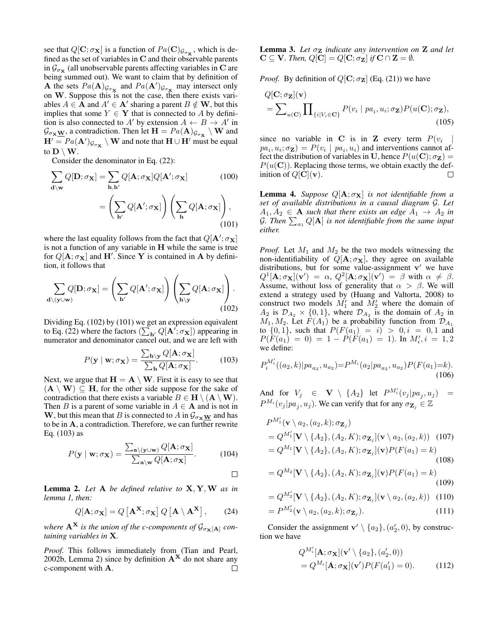see that  $Q[\mathbf{C}; \sigma_{\mathbf{X}}]$  is a function of  $Pa(\mathbf{C})_{\mathcal{G}_{\sigma_{\mathbf{X}}}}$ , which is defined as the set of variables in C and their observable parents in  $\mathcal{G}_{\sigma_{\mathbf{X}}}$  (all unobservable parents affecting variables in C are being summed out). We want to claim that by definition of **A** the sets  $Pa(A)_{\mathcal{G}_{\sigma_{\mathbf{X}}}}$  and  $Pa(A')_{\mathcal{G}_{\sigma_{\mathbf{X}}}}$  may intersect only on W. Suppose this is not the case, then there exists variables  $A \in \mathbf{A}$  and  $A' \in \mathbf{A}'$  sharing a parent  $B \notin \mathbf{W}$ , but this implies that some  $Y \in Y$  that is connected to A by definition is also connected to A' by extension  $A \leftarrow B \rightarrow A'$  in  $\mathcal{G}_{\sigma_{\mathbf{X}}\underline{\mathbf{W}}}$ , a contradiction. Then let  $\mathbf{H} = Pa(\mathbf{A})_{\mathcal{G}_{\sigma_{\mathbf{X}}}}\setminus \mathbf{W}$  and  $\mathbf{H}' = Pa(\mathbf{A}')_{\mathcal{G}_{\sigma_{\mathbf{X}}}} \setminus \mathbf{W}$  and note that  $\mathbf{H} \cup \mathbf{H}'$  must be equal to  $D \setminus W$ .

Consider the denominator in Eq. (22):

$$
\sum_{\mathbf{d}\backslash \mathbf{w}} Q[\mathbf{D}; \sigma_{\mathbf{X}}] = \sum_{\mathbf{h}, \mathbf{h}'} Q[\mathbf{A}; \sigma_{\mathbf{X}}] Q[\mathbf{A}'; \sigma_{\mathbf{X}}]
$$
(100)  

$$
= \left(\sum_{\mathbf{h}'} Q[\mathbf{A}'; \sigma_{\mathbf{X}}]\right) \left(\sum_{\mathbf{h}} Q[\mathbf{A}; \sigma_{\mathbf{X}}]\right),
$$
(101)

where the last equality follows from the fact that  $Q[\mathbf{A}'; \sigma_{\mathbf{X}}]$ is not a function of any variable in H while the same is true for  $Q[\mathbf{A}; \sigma_{\mathbf{X}}]$  and  $\mathbf{H}'$ . Since Y is contained in A by definition, it follows that

$$
\sum_{\mathbf{d}\setminus(\mathbf{y}\cup\mathbf{w})} Q[\mathbf{D};\sigma_{\mathbf{X}}] = \left(\sum_{\mathbf{h}'} Q[\mathbf{A}';\sigma_{\mathbf{X}}]\right) \left(\sum_{\mathbf{h}\setminus\mathbf{y}} Q[\mathbf{A};\sigma_{\mathbf{X}}]\right). \tag{102}
$$

Dividing Eq. (102) by (101) we get an expression equivalent to Eq. (22) where the factors  $(\sum_{\mathbf{h}'} Q[\mathbf{A}'; \sigma_{\mathbf{X}}])$  appearing in numerator and denominator cancel out, and we are left with

$$
P(\mathbf{y} \mid \mathbf{w}; \sigma_{\mathbf{X}}) = \frac{\sum_{\mathbf{h} \setminus \mathbf{y}} Q[\mathbf{A}; \sigma_{\mathbf{X}}]}{\sum_{\mathbf{h}} Q[\mathbf{A}; \sigma_{\mathbf{X}}]}.
$$
(103)

Next, we argue that  $H = A \setminus W$ . First it is easy to see that  $(A \setminus W) \subseteq H$ , for the other side suppose for the sake of contradiction that there exists a variable  $B \in H \setminus (A \setminus W)$ . Then B is a parent of some variable in  $A \in \mathbf{A}$  and is not in W, but this mean that B is connected to A in  $\mathcal{G}_{\sigma_{\mathbf{x}}}\mathbf{w}$  and has to be in A, a contradiction. Therefore, we can further rewrite Eq. (103) as

$$
P(\mathbf{y} \mid \mathbf{w}; \sigma_{\mathbf{X}}) = \frac{\sum_{\mathbf{a} \setminus (\mathbf{y} \cup \mathbf{w})} Q[\mathbf{A}; \sigma_{\mathbf{X}}]}{\sum_{\mathbf{a} \setminus \mathbf{w}} Q[\mathbf{A}; \sigma_{\mathbf{X}}]}.
$$
(104)

 $\Box$ 

Lemma 2. *Let* A *be defined relative to* X, Y,W *as in lemma 1, then:*

$$
Q[\mathbf{A}; \sigma_{\mathbf{X}}] = Q[\mathbf{A}^{\mathbf{X}}; \sigma_{\mathbf{X}}] Q[\mathbf{A} \setminus \mathbf{A}^{\mathbf{X}}], \qquad (24)
$$

*where*  $A^X$  *is the union of the c-components of*  $\mathcal{G}_{\sigma_X[A]}$  *containing variables in* X*.*

*Proof.* This follows immediately from (Tian and Pearl, 2002b, Lemma 2) since by definition  $A^X$  do not share any c-component with A. □

**Lemma 3.** Let  $\sigma_{\mathbf{Z}}$  *indicate any intervention on*  $\mathbf{Z}$  *and let*  $C \subseteq V$ *. Then,*  $Q[C] = Q[C; \sigma_Z]$  *if*  $C \cap Z = \emptyset$ *.* 

*Proof.* By definition of  $Q[C; \sigma_Z]$  (Eq. (21)) we have

$$
Q[\mathbf{C}; \sigma_{\mathbf{Z}}](\mathbf{v}) = \sum_{u(\mathbf{C})} \prod_{\{i|V_i \in \mathbf{C}\}} P(v_i \mid pa_i, u_i; \sigma_{\mathbf{Z}}) P(u(\mathbf{C}); \sigma_{\mathbf{Z}}),
$$
\n(105)

since no variable in C is in Z every term  $P(v_i)$ |  $pa_i, u_i; \sigma_{\mathbf{Z}}$  =  $P(v_i | pa_i, u_i)$  and interventions cannot affect the distribution of variables in U, hence  $P(u(C); \sigma_Z) =$  $P(u(\mathbf{C}))$ . Replacing those terms, we obtain exactly the definition of  $Q[\mathbf{C}](\mathbf{v})$ .  $\Box$ 

**Lemma 4.** *Suppose*  $Q[A; \sigma_X]$  *is not identifiable from a set of available distributions in a causal diagram* G*. Let*  $A_1, A_2 \in \mathbf{A}$  *such that there exists an edge*  $A_1 \rightarrow A_2$  *in* G. Then  $\sum_{a_1} Q[A]$  is not identifiable from the same input *either.*

*Proof.* Let  $M_1$  and  $M_2$  be the two models witnessing the non-identifiability of  $Q[\mathbf{A}; \sigma_{\mathbf{X}}]$ , they agree on available distributions, but for some value-assignment  $v'$  we have  $Q^1[\mathbf{A}; \sigma_{\mathbf{X}}](\mathbf{v}') = \alpha$ ,  $Q^2[\mathbf{A}; \sigma_{\mathbf{X}}](\mathbf{v}') = \beta$  with  $\alpha \neq \beta$ . Assume, without loss of generality that  $\alpha > \beta$ . We will extend a strategy used by (Huang and Valtorta, 2008) to construct two models  $M'_1$  and  $M'_2$  where the domain of  $A_2$  is  $\mathcal{D}_{A_2} \times \{0, 1\}$ , where  $\mathcal{D}_{A_2}$  is the domain of  $A_2$  in  $M_1, M_2$ . Let  $F(A_1)$  be a probability function from  $\mathcal{D}_{A_1}$ to  $\{0, 1\}$ , such that  $P(F(a_1) = i) > 0, i = 0, 1$  and  $P(F(a_1) = 0) = 1 - P(F(a_1) = 1)$ . In  $M'_i, i = 1, 2$ we define:

$$
P_i^{M_i'}((a_2,k)|pa_{a_2},u_{a_2}) = P^{M_i}(a_2|pa_{a_2},u_{a_2})P(F(a_1)=k).
$$
\n(106)

And for  $V_j \in \mathbf{V} \setminus \{A_2\}$  let  $P^{M_i'}(v_j|pa_j, u_j) =$  $P^{M_i}(v_j|pa_j, u_j)$ . We can verify that for any  $\sigma_{\mathbf{Z}_j} \in \mathbb{Z}$ 

$$
P^{M'_1}(\mathbf{v} \setminus a_2, (a_2, k); \sigma_{\mathbf{Z}_j})
$$
  
=  $Q^{M'_1}[\mathbf{V} \setminus \{A_2\}, (A_2, K); \sigma_{\mathbf{Z}_j}](\mathbf{v} \setminus a_2, (a_2, k))$  (107)  
=  $Q^{M_1}[\mathbf{V} \setminus \{A_2\}, (A_2, K); \sigma_{\mathbf{Z}_j}](\mathbf{v}) P(F(a_1) = k)$  (108)

$$
= Q^{M_2}[\mathbf{V} \setminus \{A_2\}, (A_2, K); \sigma_{\mathbf{Z}_j}](\mathbf{v}) P(F(a_1) = k)
$$
\n(109)

$$
= Q^{M'_2}[\mathbf{V} \setminus \{A_2\}, (A_2, K); \sigma_{\mathbf{Z}_j}](\mathbf{v} \setminus a_2, (a_2, k)) \quad (110)
$$

$$
= P^{M'_2}(\mathbf{v} \setminus a_2, (a_2, k); \sigma_{\mathbf{Z}_j}).
$$
\n(111)

Consider the assignment  $\mathbf{v}' \setminus \{a_2\}, (a'_2, 0)$ , by construction we have

$$
Q^{M_i'}[\mathbf{A}; \sigma_{\mathbf{X}}](\mathbf{v}' \setminus \{a_2\}, (a'_2, 0))
$$
  
=  $Q^{M_i}[\mathbf{A}; \sigma_{\mathbf{X}}](\mathbf{v}')P(F(a'_1) = 0).$  (112)